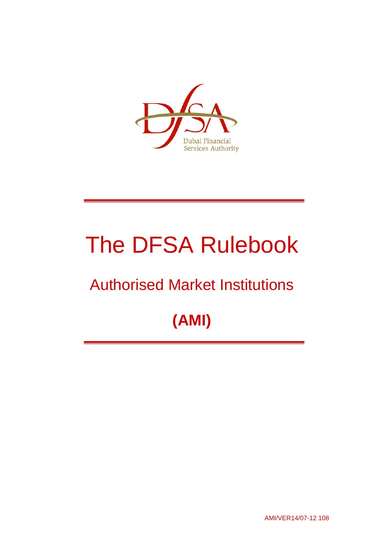

# The DFSA Rulebook

# Authorised Market Institutions

# **(AMI)**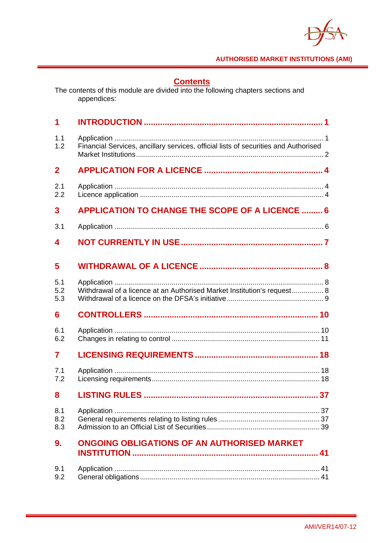

**Contents**<br>The contents of this module are divided into the following chapters sections and appendices:

| 1                 |                                                                                     |
|-------------------|-------------------------------------------------------------------------------------|
| 1.1<br>1.2        | Financial Services, ancillary services, official lists of securities and Authorised |
| $\overline{2}$    |                                                                                     |
| 2.1<br>2.2        |                                                                                     |
| 3                 | <b>APPLICATION TO CHANGE THE SCOPE OF A LICENCE  6</b>                              |
| 3.1               |                                                                                     |
| 4                 |                                                                                     |
| 5                 |                                                                                     |
| 5.1<br>5.2<br>5.3 | Withdrawal of a licence at an Authorised Market Institution's request 8             |
| 6                 |                                                                                     |
| 6.1<br>6.2        |                                                                                     |
| 7                 |                                                                                     |
| 7.1<br>7.2        |                                                                                     |
| 8                 |                                                                                     |
| 8.1<br>8.2<br>8.3 |                                                                                     |
| 9.                | ONGOING OBLIGATIONS OF AN AUTHORISED MARKET                                         |
| 9.1<br>9.2        |                                                                                     |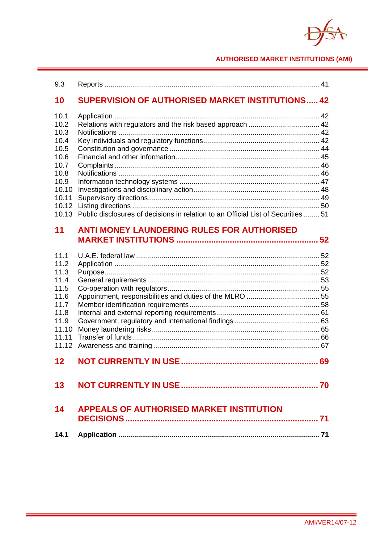$\blacktriangledown$ 

| 9.3                                                                                                      |                                                                                                                                                |  |
|----------------------------------------------------------------------------------------------------------|------------------------------------------------------------------------------------------------------------------------------------------------|--|
| 10                                                                                                       | <b>SUPERVISION OF AUTHORISED MARKET INSTITUTIONS 42</b>                                                                                        |  |
| 10.1<br>10.2<br>10.3<br>10.4<br>10.5<br>10.6<br>10.7<br>10.8<br>10.9<br>10.10<br>10.11<br>10.12<br>10.13 | Relations with regulators and the risk based approach  42<br>Public disclosures of decisions in relation to an Official List of Securities  51 |  |
| 11                                                                                                       | <b>ANTI MONEY LAUNDERING RULES FOR AUTHORISED</b>                                                                                              |  |
| 11.1<br>11.2<br>11.3<br>11.4<br>11.5<br>11.6<br>11.7<br>11.8<br>11.9<br>11.10<br>11.11<br>11.12          |                                                                                                                                                |  |
| 12                                                                                                       |                                                                                                                                                |  |
| 13                                                                                                       |                                                                                                                                                |  |
| 14                                                                                                       | <b>APPEALS OF AUTHORISED MARKET INSTITUTION</b>                                                                                                |  |
| 14.1                                                                                                     |                                                                                                                                                |  |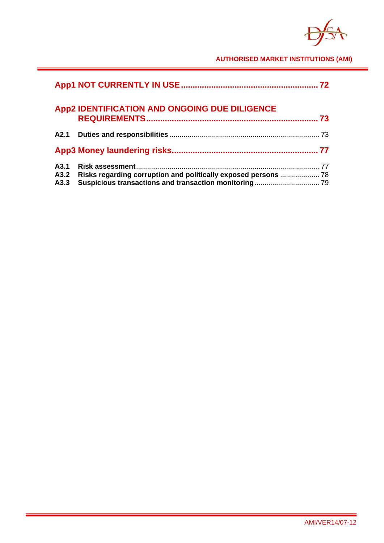$\blacktriangledown$ 

|                      | App2 IDENTIFICATION AND ONGOING DUE DILIGENCE | .73 |
|----------------------|-----------------------------------------------|-----|
|                      |                                               |     |
|                      |                                               |     |
| A3.1<br>A3.2<br>A3.3 |                                               |     |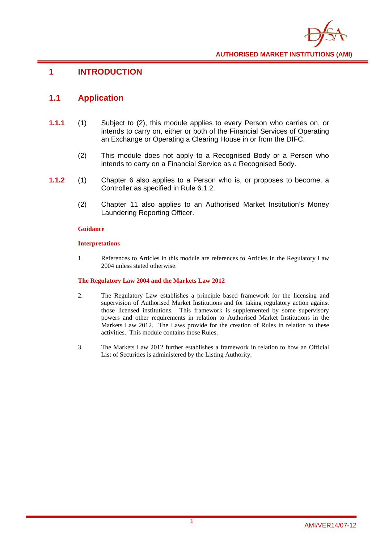

## **1 INTRODUCTION**

## **1.1 Application**

- **1.1.1** (1) Subject to (2), this module applies to every Person who carries on, or intends to carry on, either or both of the Financial Services of Operating an Exchange or Operating a Clearing House in or from the DIFC.
	- (2) This module does not apply to a Recognised Body or a Person who intends to carry on a Financial Service as a Recognised Body.
- **1.1.2** (1) Chapter 6 also applies to a Person who is, or proposes to become, a Controller as specified in Rule 6.1.2.
	- (2) Chapter 11 also applies to an Authorised Market Institution's Money Laundering Reporting Officer.

#### **Guidance**

#### **Interpretations**

1. References to Articles in this module are references to Articles in the Regulatory Law 2004 unless stated otherwise.

#### **The Regulatory Law 2004 and the Markets Law 2012**

- 2. The Regulatory Law establishes a principle based framework for the licensing and supervision of Authorised Market Institutions and for taking regulatory action against those licensed institutions. This framework is supplemented by some supervisory powers and other requirements in relation to Authorised Market Institutions in the Markets Law 2012. The Laws provide for the creation of Rules in relation to these activities. This module contains those Rules.
- 3. The Markets Law 2012 further establishes a framework in relation to how an Official List of Securities is administered by the Listing Authority.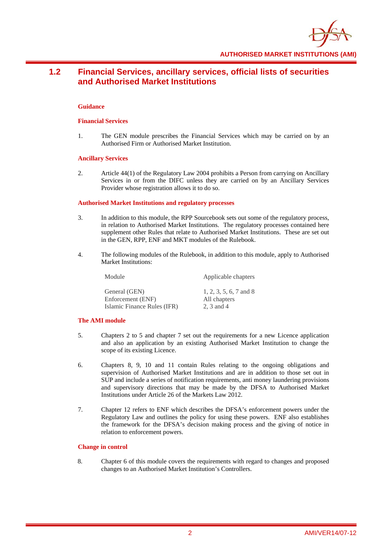

# **1.2 Financial Services, ancillary services, official lists of securities and Authorised Market Institutions**

#### **Guidance**

#### **Financial Services**

1. The GEN module prescribes the Financial Services which may be carried on by an Authorised Firm or Authorised Market Institution.

#### **Ancillary Services**

2. Article 44(1) of the Regulatory Law 2004 prohibits a Person from carrying on Ancillary Services in or from the DIFC unless they are carried on by an Ancillary Services Provider whose registration allows it to do so.

#### **Authorised Market Institutions and regulatory processes**

- 3. In addition to this module, the RPP Sourcebook sets out some of the regulatory process, in relation to Authorised Market Institutions. The regulatory processes contained here supplement other Rules that relate to Authorised Market Institutions. These are set out in the GEN, RPP, ENF and MKT modules of the Rulebook.
- 4. The following modules of the Rulebook, in addition to this module, apply to Authorised Market Institutions:

| Module                                           | Applicable chapters        |
|--------------------------------------------------|----------------------------|
| General (GEN)                                    | 1, 2, 3, 5, 6, 7 and 8     |
| Enforcement (ENF)<br>Islamic Finance Rules (IFR) | All chapters<br>2, 3 and 4 |
|                                                  |                            |

#### **The AMI module**

- 5. Chapters 2 to 5 and chapter 7 set out the requirements for a new Licence application and also an application by an existing Authorised Market Institution to change the scope of its existing Licence.
- 6. Chapters 8, 9, 10 and 11 contain Rules relating to the ongoing obligations and supervision of Authorised Market Institutions and are in addition to those set out in SUP and include a series of notification requirements, anti money laundering provisions and supervisory directions that may be made by the DFSA to Authorised Market Institutions under Article 26 of the Markets Law 2012.
- 7. Chapter 12 refers to ENF which describes the DFSA's enforcement powers under the Regulatory Law and outlines the policy for using these powers. ENF also establishes the framework for the DFSA's decision making process and the giving of notice in relation to enforcement powers.

#### **Change in control**

8. Chapter 6 of this module covers the requirements with regard to changes and proposed changes to an Authorised Market Institution's Controllers.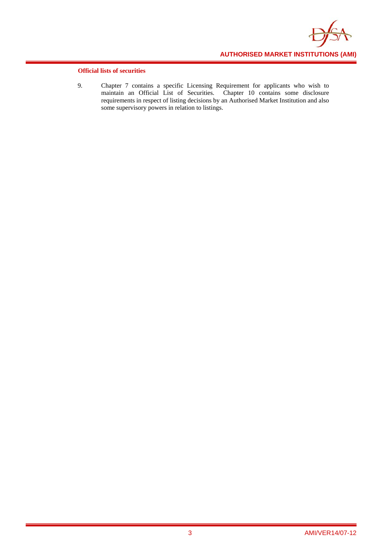

#### **Official lists of securities**

9. Chapter 7 contains a specific Licensing Requirement for applicants who wish to maintain an Official List of Securities. Chapter 10 contains some disclosure requirements in respect of listing decisions by an Authorised Market Institution and also some supervisory powers in relation to listings.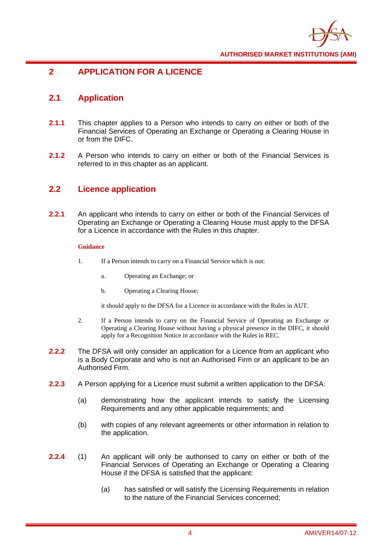

# **2 APPLICATION FOR A LICENCE**

# **2.1 Application**

- **2.1.1** This chapter applies to a Person who intends to carry on either or both of the Financial Services of Operating an Exchange or Operating a Clearing House in or from the DIFC.
- **2.1.2** A Person who intends to carry on either or both of the Financial Services is referred to in this chapter as an applicant.

# **2.2 Licence application**

**2.2.1** An applicant who intends to carry on either or both of the Financial Services of Operating an Exchange or Operating a Clearing House must apply to the DFSA for a Licence in accordance with the Rules in this chapter.

#### **Guidance**

- 1. If a Person intends to carry on a Financial Service which is not:
	- a. Operating an Exchange; or
	- b. Operating a Clearing House;

it should apply to the DFSA for a Licence in accordance with the Rules in AUT.

- 2. If a Person intends to carry on the Financial Service of Operating an Exchange or Operating a Clearing House without having a physical presence in the DIFC, it should apply for a Recognition Notice in accordance with the Rules in REC.
- **2.2.2** The DFSA will only consider an application for a Licence from an applicant who is a Body Corporate and who is not an Authorised Firm or an applicant to be an Authorised Firm.
- **2.2.3** A Person applying for a Licence must submit a written application to the DFSA:
	- (a) demonstrating how the applicant intends to satisfy the Licensing Requirements and any other applicable requirements; and
	- (b) with copies of any relevant agreements or other information in relation to the application.
- **2.2.4** (1) An applicant will only be authorised to carry on either or both of the Financial Services of Operating an Exchange or Operating a Clearing House if the DFSA is satisfied that the applicant:
	- (a) has satisfied or will satisfy the Licensing Requirements in relation to the nature of the Financial Services concerned;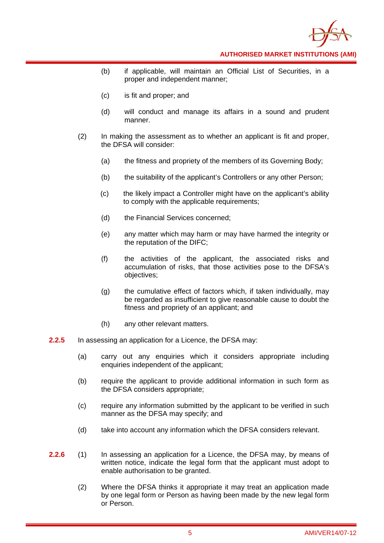

- (b) if applicable, will maintain an Official List of Securities, in a proper and independent manner;
- (c) is fit and proper; and
- (d) will conduct and manage its affairs in a sound and prudent manner.
- (2) In making the assessment as to whether an applicant is fit and proper, the DFSA will consider:
	- (a) the fitness and propriety of the members of its Governing Body;
	- (b) the suitability of the applicant's Controllers or any other Person;
	- (c) the likely impact a Controller might have on the applicant's ability to comply with the applicable requirements;
	- (d) the Financial Services concerned;
	- (e) any matter which may harm or may have harmed the integrity or the reputation of the DIFC;
	- (f) the activities of the applicant, the associated risks and accumulation of risks, that those activities pose to the DFSA's objectives;
	- (g) the cumulative effect of factors which, if taken individually, may be regarded as insufficient to give reasonable cause to doubt the fitness and propriety of an applicant; and
	- (h) any other relevant matters.
- **2.2.5** In assessing an application for a Licence, the DFSA may:
	- (a) carry out any enquiries which it considers appropriate including enquiries independent of the applicant;
	- (b) require the applicant to provide additional information in such form as the DFSA considers appropriate;
	- (c) require any information submitted by the applicant to be verified in such manner as the DFSA may specify; and
	- (d) take into account any information which the DFSA considers relevant.
- **2.2.6** (1) In assessing an application for a Licence, the DFSA may, by means of written notice, indicate the legal form that the applicant must adopt to enable authorisation to be granted.
	- (2) Where the DFSA thinks it appropriate it may treat an application made by one legal form or Person as having been made by the new legal form or Person.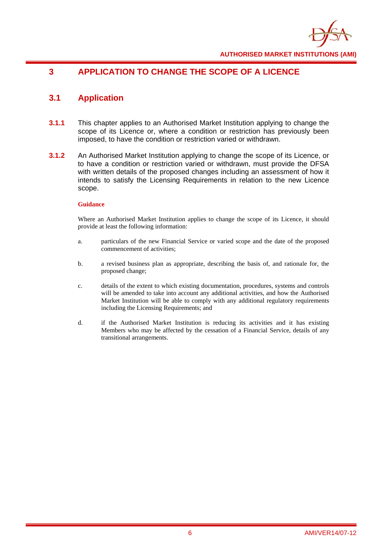

# **3 APPLICATION TO CHANGE THE SCOPE OF A LICENCE**

# **3.1 Application**

- **3.1.1** This chapter applies to an Authorised Market Institution applying to change the scope of its Licence or, where a condition or restriction has previously been imposed, to have the condition or restriction varied or withdrawn.
- **3.1.2** An Authorised Market Institution applying to change the scope of its Licence, or to have a condition or restriction varied or withdrawn, must provide the DFSA with written details of the proposed changes including an assessment of how it intends to satisfy the Licensing Requirements in relation to the new Licence scope.

#### **Guidance**

Where an Authorised Market Institution applies to change the scope of its Licence, it should provide at least the following information:

- a. particulars of the new Financial Service or varied scope and the date of the proposed commencement of activities;
- b. a revised business plan as appropriate, describing the basis of, and rationale for, the proposed change;
- c. details of the extent to which existing documentation, procedures, systems and controls will be amended to take into account any additional activities, and how the Authorised Market Institution will be able to comply with any additional regulatory requirements including the Licensing Requirements; and
- d. if the Authorised Market Institution is reducing its activities and it has existing Members who may be affected by the cessation of a Financial Service, details of any transitional arrangements.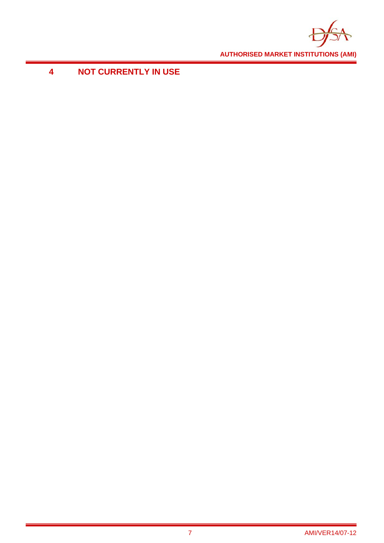

**4 NOT CURRENTLY IN USE**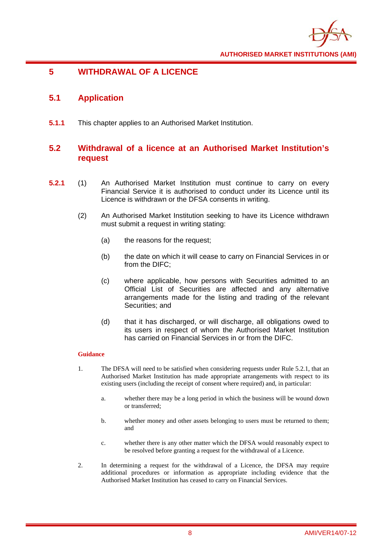

# **5 WITHDRAWAL OF A LICENCE**

# **5.1 Application**

**5.1.1** This chapter applies to an Authorised Market Institution.

# **5.2 Withdrawal of a licence at an Authorised Market Institution's request**

- **5.2.1** (1) An Authorised Market Institution must continue to carry on every Financial Service it is authorised to conduct under its Licence until its Licence is withdrawn or the DFSA consents in writing.
	- (2) An Authorised Market Institution seeking to have its Licence withdrawn must submit a request in writing stating:
		- (a) the reasons for the request;
		- (b) the date on which it will cease to carry on Financial Services in or from the DIFC;
		- (c) where applicable, how persons with Securities admitted to an Official List of Securities are affected and any alternative arrangements made for the listing and trading of the relevant Securities; and
		- (d) that it has discharged, or will discharge, all obligations owed to its users in respect of whom the Authorised Market Institution has carried on Financial Services in or from the DIFC.

- 1. The DFSA will need to be satisfied when considering requests under Rule 5.2.1, that an Authorised Market Institution has made appropriate arrangements with respect to its existing users (including the receipt of consent where required) and, in particular:
	- a. whether there may be a long period in which the business will be wound down or transferred;
	- b. whether money and other assets belonging to users must be returned to them; and
	- c. whether there is any other matter which the DFSA would reasonably expect to be resolved before granting a request for the withdrawal of a Licence.
- 2. In determining a request for the withdrawal of a Licence, the DFSA may require additional procedures or information as appropriate including evidence that the Authorised Market Institution has ceased to carry on Financial Services.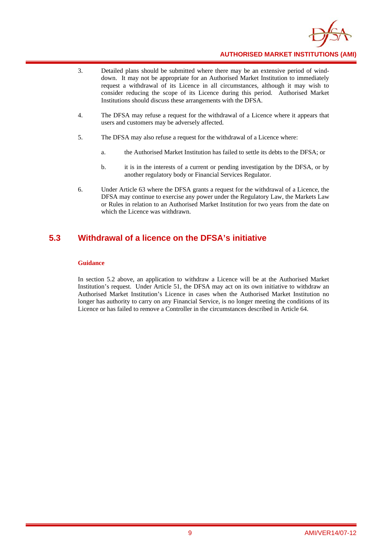

- 3. Detailed plans should be submitted where there may be an extensive period of winddown. It may not be appropriate for an Authorised Market Institution to immediately request a withdrawal of its Licence in all circumstances, although it may wish to consider reducing the scope of its Licence during this period. Authorised Market Institutions should discuss these arrangements with the DFSA.
- 4. The DFSA may refuse a request for the withdrawal of a Licence where it appears that users and customers may be adversely affected.
- 5. The DFSA may also refuse a request for the withdrawal of a Licence where:
	- a. the Authorised Market Institution has failed to settle its debts to the DFSA; or
	- b. it is in the interests of a current or pending investigation by the DFSA, or by another regulatory body or Financial Services Regulator.
- 6. Under Article 63 where the DFSA grants a request for the withdrawal of a Licence, the DFSA may continue to exercise any power under the Regulatory Law, the Markets Law or Rules in relation to an Authorised Market Institution for two years from the date on which the Licence was withdrawn.

# **5.3 Withdrawal of a licence on the DFSA's initiative**

#### **Guidance**

In section 5.2 above, an application to withdraw a Licence will be at the Authorised Market Institution's request. Under Article 51, the DFSA may act on its own initiative to withdraw an Authorised Market Institution's Licence in cases when the Authorised Market Institution no longer has authority to carry on any Financial Service, is no longer meeting the conditions of its Licence or has failed to remove a Controller in the circumstances described in Article 64.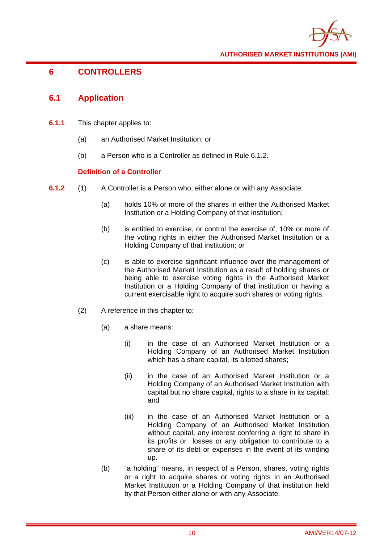

# **6 CONTROLLERS**

### **6.1 Application**

- **6.1.1** This chapter applies to:
	- (a) an Authorised Market Institution; or
	- (b) a Person who is a Controller as defined in Rule 6.1.2.

#### **Definition of a Controller**

- **6.1.2** (1) A Controller is a Person who, either alone or with any Associate:
	- (a) holds 10% or more of the shares in either the Authorised Market Institution or a Holding Company of that institution;
	- (b) is entitled to exercise, or control the exercise of, 10% or more of the voting rights in either the Authorised Market Institution or a Holding Company of that institution; or
	- (c) is able to exercise significant influence over the management of the Authorised Market Institution as a result of holding shares or being able to exercise voting rights in the Authorised Market Institution or a Holding Company of that institution or having a current exercisable right to acquire such shares or voting rights.
	- (2) A reference in this chapter to:
		- (a) a share means:
			- (i) in the case of an Authorised Market Institution or a Holding Company of an Authorised Market Institution which has a share capital, its allotted shares;
			- (ii) in the case of an Authorised Market Institution or a Holding Company of an Authorised Market Institution with capital but no share capital, rights to a share in its capital; and
			- (iii) in the case of an Authorised Market Institution or a Holding Company of an Authorised Market Institution without capital, any interest conferring a right to share in its profits or losses or any obligation to contribute to a share of its debt or expenses in the event of its winding up.
		- (b) "a holding" means, in respect of a Person, shares, voting rights or a right to acquire shares or voting rights in an Authorised Market Institution or a Holding Company of that institution held by that Person either alone or with any Associate.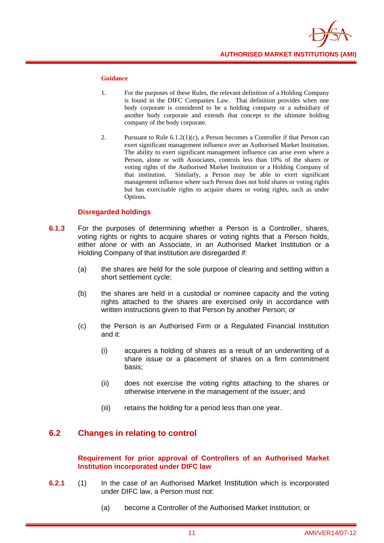

#### **Guidance**

- 1. For the purposes of these Rules, the relevant definition of a Holding Company is found in the DIFC Companies Law. That definition provides when one body corporate is considered to be a holding company or a subsidiary of another body corporate and extends that concept to the ultimate holding company of the body corporate.
- 2. Pursuant to Rule 6.1.2(1)(c), a Person becomes a Controller if that Person can exert significant management influence over an Authorised Market Institution. The ability to exert significant management influence can arise even where a Person, alone or with Associates, controls less than 10% of the shares or voting rights of the Authorised Market Institution or a Holding Company of that institution. Similarly, a Person may be able to exert significant management influence where such Person does not hold shares or voting rights but has exercisable rights to acquire shares or voting rights, such as under Options.

#### **Disregarded holdings**

- **6.1.3** For the purposes of determining whether a Person is a Controller, shares, voting rights or rights to acquire shares or voting rights that a Person holds, either alone or with an Associate, in an Authorised Market Institution or a Holding Company of that institution are disregarded if:
	- (a) the shares are held for the sole purpose of clearing and settling within a short settlement cycle;
	- (b) the shares are held in a custodial or nominee capacity and the voting rights attached to the shares are exercised only in accordance with written instructions given to that Person by another Person; or
	- (c) the Person is an Authorised Firm or a Regulated Financial Institution and it:
		- (i) acquires a holding of shares as a result of an underwriting of a share issue or a placement of shares on a firm commitment basis;
		- (ii) does not exercise the voting rights attaching to the shares or otherwise intervene in the management of the issuer; and
		- (iii) retains the holding for a period less than one year.

## **6.2 Changes in relating to control**

#### **Requirement for prior approval of Controllers of an Authorised Market Institution incorporated under DIFC law**

- **6.2.1** (1) In the case of an Authorised Market Institution which is incorporated under DIFC law, a Person must not:
	- (a) become a Controller of the Authorised Market Institution; or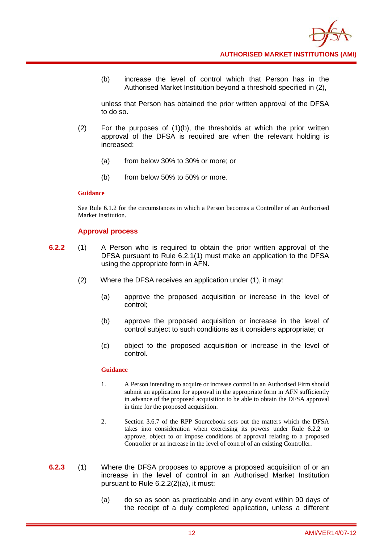

(b) increase the level of control which that Person has in the Authorised Market Institution beyond a threshold specified in (2),

unless that Person has obtained the prior written approval of the DFSA to do so.

- $(2)$  For the purposes of  $(1)(b)$ , the thresholds at which the prior written approval of the DFSA is required are when the relevant holding is increased:
	- (a) from below 30% to 30% or more; or
	- (b) from below 50% to 50% or more.

#### **Guidance**

See Rule 6.1.2 for the circumstances in which a Person becomes a Controller of an Authorised Market Institution.

#### **Approval process**

- **6.2.2** (1) A Person who is required to obtain the prior written approval of the DFSA pursuant to Rule 6.2.1(1) must make an application to the DFSA using the appropriate form in AFN.
	- (2) Where the DFSA receives an application under (1), it may:
		- (a) approve the proposed acquisition or increase in the level of control;
		- (b) approve the proposed acquisition or increase in the level of control subject to such conditions as it considers appropriate; or
		- (c) object to the proposed acquisition or increase in the level of control.

- 1. A Person intending to acquire or increase control in an Authorised Firm should submit an application for approval in the appropriate form in AFN sufficiently in advance of the proposed acquisition to be able to obtain the DFSA approval in time for the proposed acquisition.
- 2. Section 3.6.7 of the RPP Sourcebook sets out the matters which the DFSA takes into consideration when exercising its powers under Rule 6.2.2 to approve, object to or impose conditions of approval relating to a proposed Controller or an increase in the level of control of an existing Controller.
- **6.2.3** (1) Where the DFSA proposes to approve a proposed acquisition of or an increase in the level of control in an Authorised Market Institution pursuant to Rule 6.2.2(2)(a), it must:
	- (a) do so as soon as practicable and in any event within 90 days of the receipt of a duly completed application, unless a different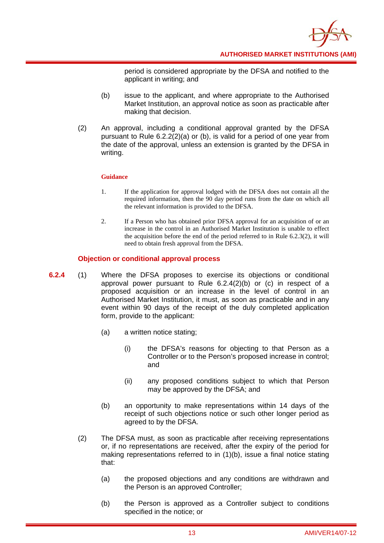

period is considered appropriate by the DFSA and notified to the applicant in writing; and

- (b) issue to the applicant, and where appropriate to the Authorised Market Institution, an approval notice as soon as practicable after making that decision.
- (2) An approval, including a conditional approval granted by the DFSA pursuant to Rule 6.2.2(2)(a) or (b), is valid for a period of one year from the date of the approval, unless an extension is granted by the DFSA in writing.

#### **Guidance**

- 1. If the application for approval lodged with the DFSA does not contain all the required information, then the 90 day period runs from the date on which all the relevant information is provided to the DFSA.
- 2. If a Person who has obtained prior DFSA approval for an acquisition of or an increase in the control in an Authorised Market Institution is unable to effect the acquisition before the end of the period referred to in Rule 6.2.3(2), it will need to obtain fresh approval from the DFSA.

#### **Objection or conditional approval process**

- **6.2.4** (1) Where the DFSA proposes to exercise its objections or conditional approval power pursuant to Rule 6.2.4(2)(b) or (c) in respect of a proposed acquisition or an increase in the level of control in an Authorised Market Institution, it must, as soon as practicable and in any event within 90 days of the receipt of the duly completed application form, provide to the applicant:
	- (a) a written notice stating;
		- (i) the DFSA's reasons for objecting to that Person as a Controller or to the Person's proposed increase in control; and
		- (ii) any proposed conditions subject to which that Person may be approved by the DFSA; and
	- (b) an opportunity to make representations within 14 days of the receipt of such objections notice or such other longer period as agreed to by the DFSA.
	- (2) The DFSA must, as soon as practicable after receiving representations or, if no representations are received, after the expiry of the period for making representations referred to in (1)(b), issue a final notice stating that:
		- (a) the proposed objections and any conditions are withdrawn and the Person is an approved Controller;
		- (b) the Person is approved as a Controller subject to conditions specified in the notice; or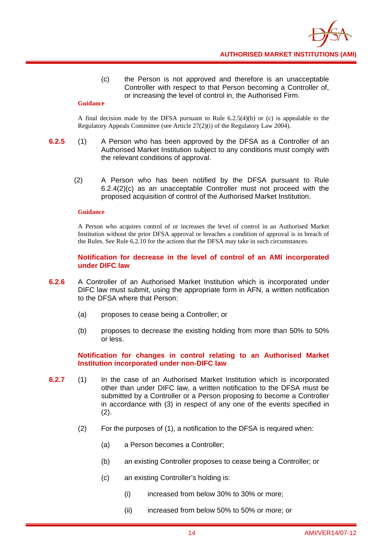

(c) the Person is not approved and therefore is an unacceptable Controller with respect to that Person becoming a Controller of, or increasing the level of control in, the Authorised Firm.

#### **Guidance**

A final decision made by the DFSA pursuant to Rule  $6.2.5(4)(b)$  or (c) is appealable to the Regulatory Appeals Committee (see Article 27(2)(i) of the Regulatory Law 2004).

- **6.2.5** (1) A Person who has been approved by the DFSA as a Controller of an Authorised Market Institution subject to any conditions must comply with the relevant conditions of approval.
	- (2) A Person who has been notified by the DFSA pursuant to Rule 6.2.4(2)(c) as an unacceptable Controller must not proceed with the proposed acquisition of control of the Authorised Market Institution.

#### **Guidance**

A Person who acquires control of or increases the level of control in an Authorised Market Institution without the prior DFSA approval or breaches a condition of approval is in breach of the Rules. See Rule 6.2.10 for the actions that the DFSA may take in such circumstances.

#### **Notification for decrease in the level of control of an AMI incorporated under DIFC law**

- **6.2.6** A Controller of an Authorised Market Institution which is incorporated under DIFC law must submit, using the appropriate form in AFN, a written notification to the DFSA where that Person:
	- (a) proposes to cease being a Controller; or
	- (b) proposes to decrease the existing holding from more than 50% to 50% or less.

#### **Notification for changes in control relating to an Authorised Market Institution incorporated under non-DIFC law**

- **6.2.7** (1) In the case of an Authorised Market Institution which is incorporated other than under DIFC law, a written notification to the DFSA must be submitted by a Controller or a Person proposing to become a Controller in accordance with (3) in respect of any one of the events specified in (2).
	- (2) For the purposes of (1), a notification to the DFSA is required when:
		- (a) a Person becomes a Controller;
		- (b) an existing Controller proposes to cease being a Controller; or
		- (c) an existing Controller's holding is:
			- (i) increased from below 30% to 30% or more;
			- (ii) increased from below 50% to 50% or more; or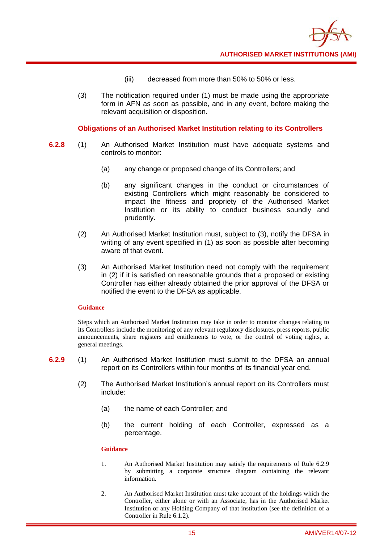

- (iii) decreased from more than 50% to 50% or less.
- (3) The notification required under (1) must be made using the appropriate form in AFN as soon as possible, and in any event, before making the relevant acquisition or disposition.

#### **Obligations of an Authorised Market Institution relating to its Controllers**

- **6.2.8** (1) An Authorised Market Institution must have adequate systems and controls to monitor:
	- (a) any change or proposed change of its Controllers; and
	- (b) any significant changes in the conduct or circumstances of existing Controllers which might reasonably be considered to impact the fitness and propriety of the Authorised Market Institution or its ability to conduct business soundly and prudently.
	- (2) An Authorised Market Institution must, subject to (3), notify the DFSA in writing of any event specified in (1) as soon as possible after becoming aware of that event.
	- (3) An Authorised Market Institution need not comply with the requirement in (2) if it is satisfied on reasonable grounds that a proposed or existing Controller has either already obtained the prior approval of the DFSA or notified the event to the DFSA as applicable.

#### **Guidance**

Steps which an Authorised Market Institution may take in order to monitor changes relating to its Controllers include the monitoring of any relevant regulatory disclosures, press reports, public announcements, share registers and entitlements to vote, or the control of voting rights, at general meetings.

- **6.2.9** (1) An Authorised Market Institution must submit to the DFSA an annual report on its Controllers within four months of its financial year end.
	- (2) The Authorised Market Institution's annual report on its Controllers must include:
		- (a) the name of each Controller; and
		- (b) the current holding of each Controller, expressed as a percentage.

- 1. An Authorised Market Institution may satisfy the requirements of Rule 6.2.9 by submitting a corporate structure diagram containing the relevant information.
- 2. An Authorised Market Institution must take account of the holdings which the Controller, either alone or with an Associate, has in the Authorised Market Institution or any Holding Company of that institution (see the definition of a Controller in Rule 6.1.2).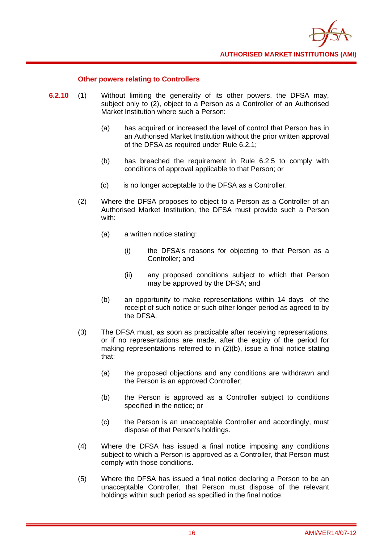

#### **Other powers relating to Controllers**

- **6.2.10** (1) Without limiting the generality of its other powers, the DFSA may, subject only to (2), object to a Person as a Controller of an Authorised Market Institution where such a Person:
	- (a) has acquired or increased the level of control that Person has in an Authorised Market Institution without the prior written approval of the DFSA as required under Rule 6.2.1;
	- (b) has breached the requirement in Rule 6.2.5 to comply with conditions of approval applicable to that Person; or
	- (c) is no longer acceptable to the DFSA as a Controller.
	- (2) Where the DFSA proposes to object to a Person as a Controller of an Authorised Market Institution, the DFSA must provide such a Person with:
		- (a) a written notice stating:
			- (i) the DFSA's reasons for objecting to that Person as a Controller; and
			- (ii) any proposed conditions subject to which that Person may be approved by the DFSA; and
		- (b) an opportunity to make representations within 14 days of the receipt of such notice or such other longer period as agreed to by the DFSA.
	- (3) The DFSA must, as soon as practicable after receiving representations, or if no representations are made, after the expiry of the period for making representations referred to in (2)(b), issue a final notice stating that:
		- (a) the proposed objections and any conditions are withdrawn and the Person is an approved Controller;
		- (b) the Person is approved as a Controller subject to conditions specified in the notice; or
		- (c) the Person is an unacceptable Controller and accordingly, must dispose of that Person's holdings.
	- (4) Where the DFSA has issued a final notice imposing any conditions subject to which a Person is approved as a Controller, that Person must comply with those conditions.
	- (5) Where the DFSA has issued a final notice declaring a Person to be an unacceptable Controller, that Person must dispose of the relevant holdings within such period as specified in the final notice.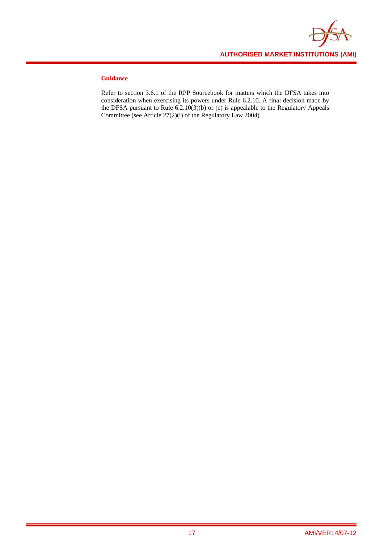

#### **Guidance**

Refer to section 3.6.1 of the RPP Sourcebook for matters which the DFSA takes into consideration when exercising its powers under Rule 6.2.10. A final decision made by the DFSA pursuant to Rule 6.2.10(3)(b) or (c) is appealable to the Regulatory Appeals Committee (see Article 27(2)(i) of the Regulatory Law 2004).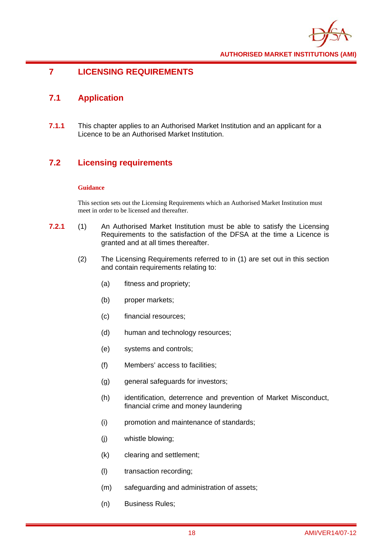

# **7 LICENSING REQUIREMENTS**

# **7.1 Application**

**7.1.1** This chapter applies to an Authorised Market Institution and an applicant for a Licence to be an Authorised Market Institution.

# **7.2 Licensing requirements**

#### **Guidance**

This section sets out the Licensing Requirements which an Authorised Market Institution must meet in order to be licensed and thereafter.

- **7.2.1** (1) An Authorised Market Institution must be able to satisfy the Licensing Requirements to the satisfaction of the DFSA at the time a Licence is granted and at all times thereafter.
	- (2) The Licensing Requirements referred to in (1) are set out in this section and contain requirements relating to:
		- (a) fitness and propriety;
		- (b) proper markets;
		- (c) financial resources;
		- (d) human and technology resources;
		- (e) systems and controls;
		- (f) Members' access to facilities;
		- (g) general safeguards for investors;
		- (h) identification, deterrence and prevention of Market Misconduct, financial crime and money laundering
		- (i) promotion and maintenance of standards;
		- (j) whistle blowing;
		- (k) clearing and settlement;
		- (l) transaction recording;
		- (m) safeguarding and administration of assets;
		- (n) Business Rules;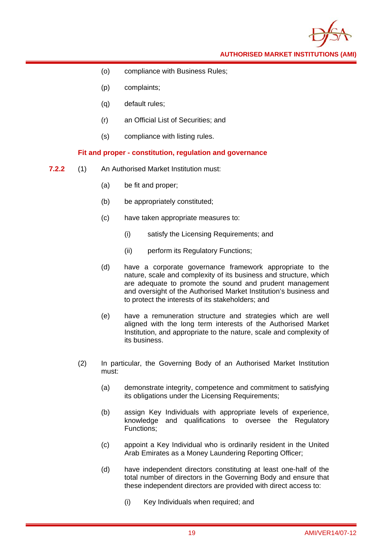- (o) compliance with Business Rules;
- (p) complaints;
- (q) default rules;
- (r) an Official List of Securities; and
- (s) compliance with listing rules.

#### **Fit and proper - constitution, regulation and governance**

- **7.2.2** (1) An Authorised Market Institution must:
	- (a) be fit and proper;
	- (b) be appropriately constituted;
	- (c) have taken appropriate measures to:
		- (i) satisfy the Licensing Requirements; and
		- (ii) perform its Regulatory Functions;
	- (d) have a corporate governance framework appropriate to the nature, scale and complexity of its business and structure, which are adequate to promote the sound and prudent management and oversight of the Authorised Market Institution's business and to protect the interests of its stakeholders; and
	- (e) have a remuneration structure and strategies which are well aligned with the long term interests of the Authorised Market Institution, and appropriate to the nature, scale and complexity of its business.
	- (2) In particular, the Governing Body of an Authorised Market Institution must:
		- (a) demonstrate integrity, competence and commitment to satisfying its obligations under the Licensing Requirements;
		- (b) assign Key Individuals with appropriate levels of experience, knowledge and qualifications to oversee the Regulatory Functions;
		- (c) appoint a Key Individual who is ordinarily resident in the United Arab Emirates as a Money Laundering Reporting Officer;
		- (d) have independent directors constituting at least one-half of the total number of directors in the Governing Body and ensure that these independent directors are provided with direct access to:
			- (i) Key Individuals when required; and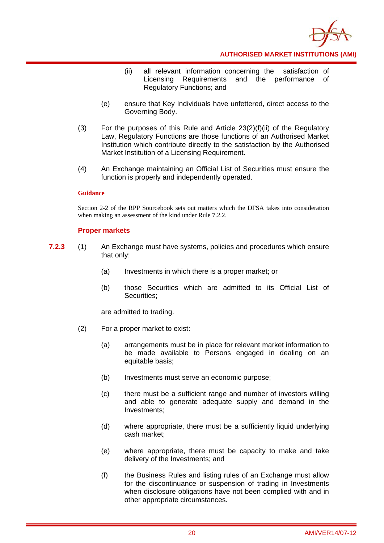

- (ii) all relevant information concerning the satisfaction of Licensing Requirements and the performance of Regulatory Functions; and
- (e) ensure that Key Individuals have unfettered, direct access to the Governing Body.
- (3) For the purposes of this Rule and Article  $23(2)(f)(ii)$  of the Regulatory Law, Regulatory Functions are those functions of an Authorised Market Institution which contribute directly to the satisfaction by the Authorised Market Institution of a Licensing Requirement.
- (4) An Exchange maintaining an Official List of Securities must ensure the function is properly and independently operated.

#### **Guidance**

Section 2-2 of the RPP Sourcebook sets out matters which the DFSA takes into consideration when making an assessment of the kind under Rule 7.2.2.

#### **Proper markets**

- **7.2.3** (1) An Exchange must have systems, policies and procedures which ensure that only:
	- (a) Investments in which there is a proper market; or
	- (b) those Securities which are admitted to its Official List of Securities;

are admitted to trading.

- (2) For a proper market to exist:
	- (a) arrangements must be in place for relevant market information to be made available to Persons engaged in dealing on an equitable basis;
	- (b) Investments must serve an economic purpose;
	- (c) there must be a sufficient range and number of investors willing and able to generate adequate supply and demand in the Investments;
	- (d) where appropriate, there must be a sufficiently liquid underlying cash market;
	- (e) where appropriate, there must be capacity to make and take delivery of the Investments; and
	- (f) the Business Rules and listing rules of an Exchange must allow for the discontinuance or suspension of trading in Investments when disclosure obligations have not been complied with and in other appropriate circumstances.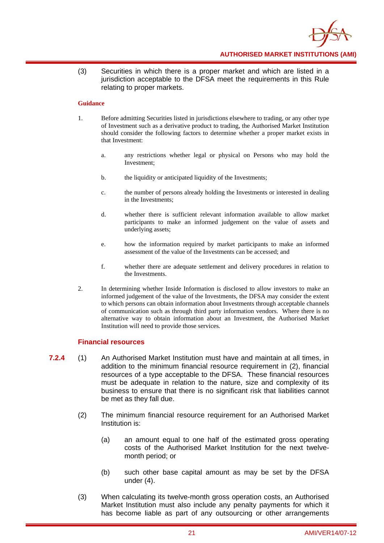

(3) Securities in which there is a proper market and which are listed in a jurisdiction acceptable to the DFSA meet the requirements in this Rule relating to proper markets.

#### **Guidance**

- 1. Before admitting Securities listed in jurisdictions elsewhere to trading, or any other type of Investment such as a derivative product to trading, the Authorised Market Institution should consider the following factors to determine whether a proper market exists in that Investment:
	- a. any restrictions whether legal or physical on Persons who may hold the Investment;
	- b. the liquidity or anticipated liquidity of the Investments;
	- c. the number of persons already holding the Investments or interested in dealing in the Investments;
	- d. whether there is sufficient relevant information available to allow market participants to make an informed judgement on the value of assets and underlying assets;
	- e. how the information required by market participants to make an informed assessment of the value of the Investments can be accessed; and
	- f. whether there are adequate settlement and delivery procedures in relation to the Investments.
- 2. In determining whether Inside Information is disclosed to allow investors to make an informed judgement of the value of the Investments, the DFSA may consider the extent to which persons can obtain information about Investments through acceptable channels of communication such as through third party information vendors. Where there is no alternative way to obtain information about an Investment, the Authorised Market Institution will need to provide those services.

#### **Financial resources**

- **7.2.4** (1) An Authorised Market Institution must have and maintain at all times, in addition to the minimum financial resource requirement in (2), financial resources of a type acceptable to the DFSA. These financial resources must be adequate in relation to the nature, size and complexity of its business to ensure that there is no significant risk that liabilities cannot be met as they fall due.
	- (2) The minimum financial resource requirement for an Authorised Market Institution is:
		- (a) an amount equal to one half of the estimated gross operating costs of the Authorised Market Institution for the next twelvemonth period; or
		- (b) such other base capital amount as may be set by the DFSA under (4).
	- (3) When calculating its twelve-month gross operation costs, an Authorised Market Institution must also include any penalty payments for which it has become liable as part of any outsourcing or other arrangements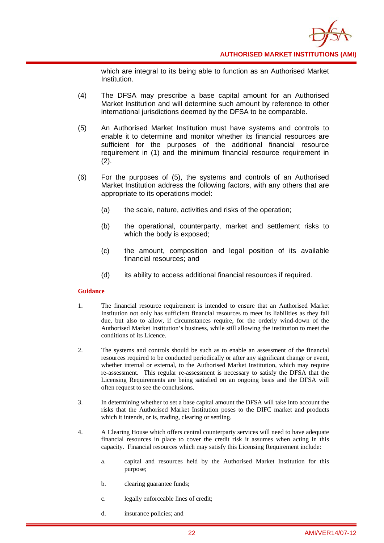

which are integral to its being able to function as an Authorised Market Institution.

- (4) The DFSA may prescribe a base capital amount for an Authorised Market Institution and will determine such amount by reference to other international jurisdictions deemed by the DFSA to be comparable.
- (5) An Authorised Market Institution must have systems and controls to enable it to determine and monitor whether its financial resources are sufficient for the purposes of the additional financial resource requirement in (1) and the minimum financial resource requirement in (2).
- (6) For the purposes of (5), the systems and controls of an Authorised Market Institution address the following factors, with any others that are appropriate to its operations model:
	- (a) the scale, nature, activities and risks of the operation;
	- (b) the operational, counterparty, market and settlement risks to which the body is exposed;
	- (c) the amount, composition and legal position of its available financial resources; and
	- (d) its ability to access additional financial resources if required.

- 1. The financial resource requirement is intended to ensure that an Authorised Market Institution not only has sufficient financial resources to meet its liabilities as they fall due, but also to allow, if circumstances require, for the orderly wind-down of the Authorised Market Institution's business, while still allowing the institution to meet the conditions of its Licence.
- 2. The systems and controls should be such as to enable an assessment of the financial resources required to be conducted periodically or after any significant change or event, whether internal or external, to the Authorised Market Institution, which may require re-assessment. This regular re-assessment is necessary to satisfy the DFSA that the Licensing Requirements are being satisfied on an ongoing basis and the DFSA will often request to see the conclusions.
- 3. In determining whether to set a base capital amount the DFSA will take into account the risks that the Authorised Market Institution poses to the DIFC market and products which it intends, or is, trading, clearing or settling.
- 4. A Clearing House which offers central counterparty services will need to have adequate financial resources in place to cover the credit risk it assumes when acting in this capacity. Financial resources which may satisfy this Licensing Requirement include:
	- a. capital and resources held by the Authorised Market Institution for this purpose;
	- b. clearing guarantee funds;
	- c. legally enforceable lines of credit;
	- d. insurance policies; and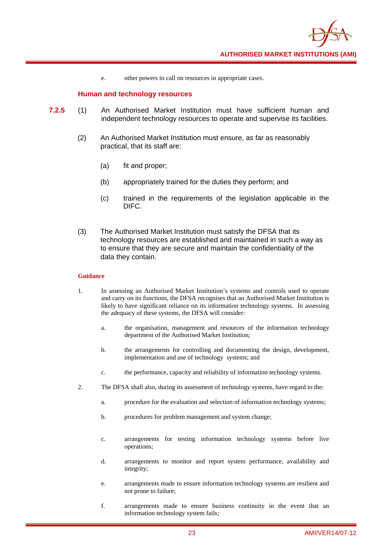

e. other powers to call on resources in appropriate cases.

#### **Human and technology resources**

- **7.2.5** (1) An Authorised Market Institution must have sufficient human and independent technology resources to operate and supervise its facilities.
	- (2) An Authorised Market Institution must ensure, as far as reasonably practical, that its staff are:
		- (a) fit and proper;
		- (b) appropriately trained for the duties they perform; and
		- (c) trained in the requirements of the legislation applicable in the DIFC.
	- (3) The Authorised Market Institution must satisfy the DFSA that its technology resources are established and maintained in such a way as to ensure that they are secure and maintain the confidentiality of the data they contain.

- 1. In assessing an Authorised Market Institution's systems and controls used to operate and carry on its functions, the DFSA recognises that an Authorised Market Institution is likely to have significant reliance on its information technology systems. In assessing the adequacy of these systems, the DFSA will consider:
	- a. the organisation, management and resources of the information technology department of the Authorised Market Institution;
	- b. the arrangements for controlling and documenting the design, development, implementation and use of technology systems; and
	- c. the performance, capacity and reliability of information technology systems.
- 2. The DFSA shall also, during its assessment of technology systems, have regard to the:
	- a. procedure for the evaluation and selection of information technology systems;
	- b. procedures for problem management and system change;
	- c. arrangements for testing information technology systems before live operations;
	- d. arrangements to monitor and report system performance, availability and integrity;
	- e. arrangements made to ensure information technology systems are resilient and not prone to failure;
	- f. arrangements made to ensure business continuity in the event that an information technology system fails;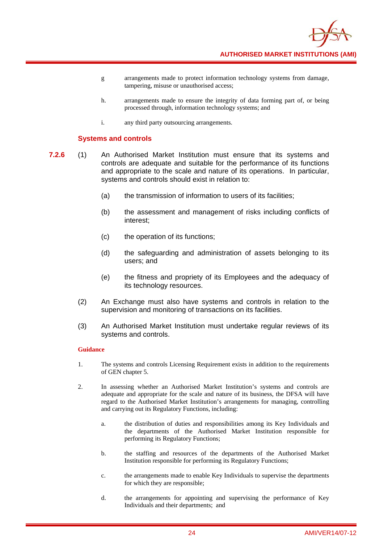

- g arrangements made to protect information technology systems from damage, tampering, misuse or unauthorised access;
- h. arrangements made to ensure the integrity of data forming part of, or being processed through, information technology systems; and
- i. any third party outsourcing arrangements.

#### **Systems and controls**

- **7.2.6** (1) An Authorised Market Institution must ensure that its systems and controls are adequate and suitable for the performance of its functions and appropriate to the scale and nature of its operations. In particular, systems and controls should exist in relation to:
	- (a) the transmission of information to users of its facilities;
	- (b) the assessment and management of risks including conflicts of interest;
	- (c) the operation of its functions;
	- (d) the safeguarding and administration of assets belonging to its users; and
	- (e) the fitness and propriety of its Employees and the adequacy of its technology resources.
	- (2) An Exchange must also have systems and controls in relation to the supervision and monitoring of transactions on its facilities.
	- (3) An Authorised Market Institution must undertake regular reviews of its systems and controls.

- 1. The systems and controls Licensing Requirement exists in addition to the requirements of GEN chapter 5.
- 2. In assessing whether an Authorised Market Institution's systems and controls are adequate and appropriate for the scale and nature of its business, the DFSA will have regard to the Authorised Market Institution's arrangements for managing, controlling and carrying out its Regulatory Functions, including:
	- a. the distribution of duties and responsibilities among its Key Individuals and the departments of the Authorised Market Institution responsible for performing its Regulatory Functions;
	- b. the staffing and resources of the departments of the Authorised Market Institution responsible for performing its Regulatory Functions;
	- c. the arrangements made to enable Key Individuals to supervise the departments for which they are responsible;
	- d. the arrangements for appointing and supervising the performance of Key Individuals and their departments; and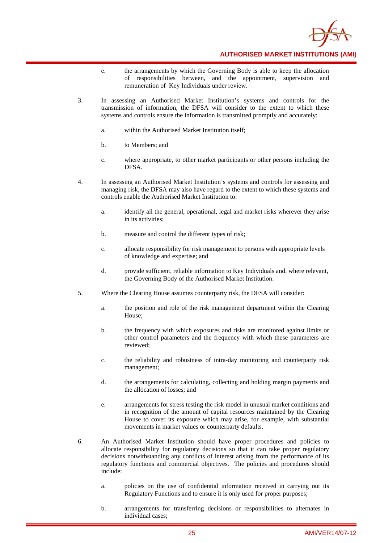

- e. the arrangements by which the Governing Body is able to keep the allocation of responsibilities between, and the appointment, supervision and remuneration of Key Individuals under review.
- 3. In assessing an Authorised Market Institution's systems and controls for the transmission of information, the DFSA will consider to the extent to which these systems and controls ensure the information is transmitted promptly and accurately:
	- a. within the Authorised Market Institution itself;
	- b. to Members; and
	- c. where appropriate, to other market participants or other persons including the DFSA.
- 4. In assessing an Authorised Market Institution's systems and controls for assessing and managing risk, the DFSA may also have regard to the extent to which these systems and controls enable the Authorised Market Institution to:
	- a. identify all the general, operational, legal and market risks wherever they arise in its activities;
	- b. measure and control the different types of risk;
	- c. allocate responsibility for risk management to persons with appropriate levels of knowledge and expertise; and
	- d. provide sufficient, reliable information to Key Individuals and, where relevant, the Governing Body of the Authorised Market Institution.
- 5. Where the Clearing House assumes counterparty risk, the DFSA will consider:
	- a. the position and role of the risk management department within the Clearing House;
	- b. the frequency with which exposures and risks are monitored against limits or other control parameters and the frequency with which these parameters are reviewed;
	- c. the reliability and robustness of intra-day monitoring and counterparty risk management;
	- d. the arrangements for calculating, collecting and holding margin payments and the allocation of losses; and
	- e. arrangements for stress testing the risk model in unusual market conditions and in recognition of the amount of capital resources maintained by the Clearing House to cover its exposure which may arise, for example, with substantial movements in market values or counterparty defaults.
- 6. An Authorised Market Institution should have proper procedures and policies to allocate responsibility for regulatory decisions so that it can take proper regulatory decisions notwithstanding any conflicts of interest arising from the performance of its regulatory functions and commercial objectives. The policies and procedures should include:
	- a. policies on the use of confidential information received in carrying out its Regulatory Functions and to ensure it is only used for proper purposes;
	- b. arrangements for transferring decisions or responsibilities to alternates in individual cases;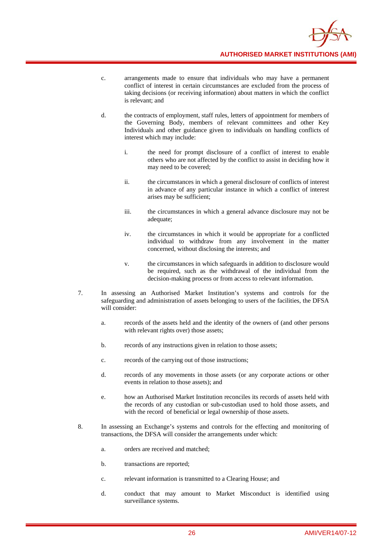

- c. arrangements made to ensure that individuals who may have a permanent conflict of interest in certain circumstances are excluded from the process of taking decisions (or receiving information) about matters in which the conflict is relevant; and
- d. the contracts of employment, staff rules, letters of appointment for members of the Governing Body, members of relevant committees and other Key Individuals and other guidance given to individuals on handling conflicts of interest which may include:
	- i. the need for prompt disclosure of a conflict of interest to enable others who are not affected by the conflict to assist in deciding how it may need to be covered;
	- ii. the circumstances in which a general disclosure of conflicts of interest in advance of any particular instance in which a conflict of interest arises may be sufficient;
	- iii. the circumstances in which a general advance disclosure may not be adequate;
	- iv. the circumstances in which it would be appropriate for a conflicted individual to withdraw from any involvement in the matter concerned, without disclosing the interests; and
	- v. the circumstances in which safeguards in addition to disclosure would be required, such as the withdrawal of the individual from the decision-making process or from access to relevant information.
- 7. In assessing an Authorised Market Institution's systems and controls for the safeguarding and administration of assets belonging to users of the facilities, the DFSA will consider:
	- a. records of the assets held and the identity of the owners of (and other persons with relevant rights over) those assets;
	- b. records of any instructions given in relation to those assets;
	- c. records of the carrying out of those instructions;
	- d. records of any movements in those assets (or any corporate actions or other events in relation to those assets); and
	- e. how an Authorised Market Institution reconciles its records of assets held with the records of any custodian or sub-custodian used to hold those assets, and with the record of beneficial or legal ownership of those assets.
- 8. In assessing an Exchange's systems and controls for the effecting and monitoring of transactions, the DFSA will consider the arrangements under which:
	- a. orders are received and matched;
	- b. transactions are reported;
	- c. relevant information is transmitted to a Clearing House; and
	- d. conduct that may amount to Market Misconduct is identified using surveillance systems.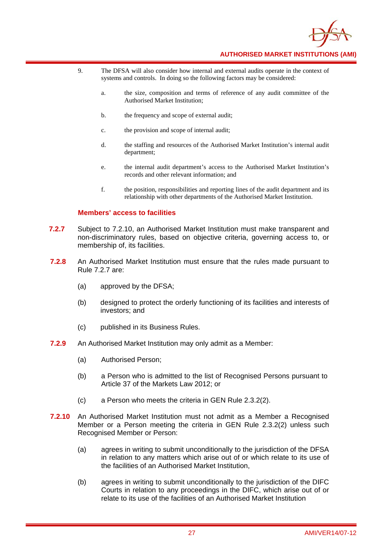

- 9. The DFSA will also consider how internal and external audits operate in the context of systems and controls. In doing so the following factors may be considered:
	- a. the size, composition and terms of reference of any audit committee of the Authorised Market Institution;
	- b. the frequency and scope of external audit;
	- c. the provision and scope of internal audit;
	- d. the staffing and resources of the Authorised Market Institution's internal audit department;
	- e. the internal audit department's access to the Authorised Market Institution's records and other relevant information; and
	- f. the position, responsibilities and reporting lines of the audit department and its relationship with other departments of the Authorised Market Institution.

#### **Members' access to facilities**

- **7.2.7** Subject to 7.2.10, an Authorised Market Institution must make transparent and non-discriminatory rules, based on objective criteria, governing access to, or membership of, its facilities.
- **7.2.8** An Authorised Market Institution must ensure that the rules made pursuant to Rule 7.2.7 are:
	- (a) approved by the DFSA;
	- (b) designed to protect the orderly functioning of its facilities and interests of investors; and
	- (c) published in its Business Rules.
- **7.2.9** An Authorised Market Institution may only admit as a Member:
	- (a) Authorised Person;
	- (b) a Person who is admitted to the list of Recognised Persons pursuant to Article 37 of the Markets Law 2012; or
	- (c) a Person who meets the criteria in GEN Rule 2.3.2(2).
- **7.2.10** An Authorised Market Institution must not admit as a Member a Recognised Member or a Person meeting the criteria in GEN Rule 2.3.2(2) unless such Recognised Member or Person:
	- (a) agrees in writing to submit unconditionally to the jurisdiction of the DFSA in relation to any matters which arise out of or which relate to its use of the facilities of an Authorised Market Institution,
	- (b) agrees in writing to submit unconditionally to the jurisdiction of the DIFC Courts in relation to any proceedings in the DIFC, which arise out of or relate to its use of the facilities of an Authorised Market Institution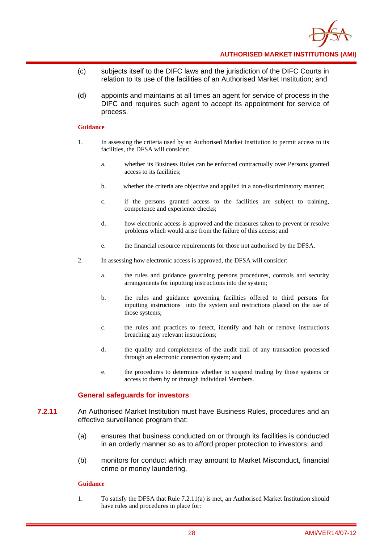

- (c) subjects itself to the DIFC laws and the jurisdiction of the DIFC Courts in relation to its use of the facilities of an Authorised Market Institution; and
- (d) appoints and maintains at all times an agent for service of process in the DIFC and requires such agent to accept its appointment for service of process.

#### **Guidance**

- 1. In assessing the criteria used by an Authorised Market Institution to permit access to its facilities, the DFSA will consider:
	- a. whether its Business Rules can be enforced contractually over Persons granted access to its facilities;
	- b. whether the criteria are objective and applied in a non-discriminatory manner;
	- c. if the persons granted access to the facilities are subject to training, competence and experience checks;
	- d. how electronic access is approved and the measures taken to prevent or resolve problems which would arise from the failure of this access; and
	- e. the financial resource requirements for those not authorised by the DFSA.
- 2. In assessing how electronic access is approved, the DFSA will consider:
	- a. the rules and guidance governing persons procedures, controls and security arrangements for inputting instructions into the system;
	- b. the rules and guidance governing facilities offered to third persons for inputting instructions into the system and restrictions placed on the use of those systems;
	- c. the rules and practices to detect, identify and halt or remove instructions breaching any relevant instructions;
	- d. the quality and completeness of the audit trail of any transaction processed through an electronic connection system; and
	- e. the procedures to determine whether to suspend trading by those systems or access to them by or through individual Members.

#### **General safeguards for investors**

- **7.2.11** An Authorised Market Institution must have Business Rules, procedures and an effective surveillance program that:
	- (a) ensures that business conducted on or through its facilities is conducted in an orderly manner so as to afford proper protection to investors; and
	- (b) monitors for conduct which may amount to Market Misconduct, financial crime or money laundering.

#### **Guidance**

1. To satisfy the DFSA that Rule 7.2.11(a) is met, an Authorised Market Institution should have rules and procedures in place for: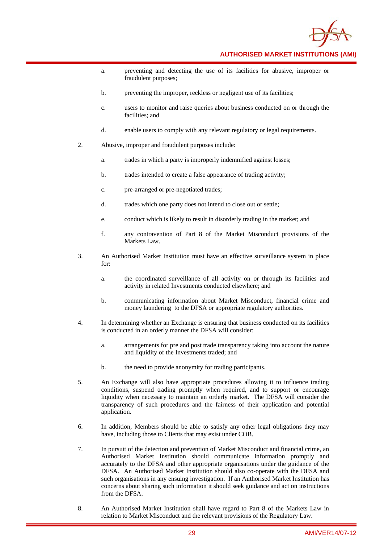

- a. preventing and detecting the use of its facilities for abusive, improper or fraudulent purposes;
- b. preventing the improper, reckless or negligent use of its facilities;
- c. users to monitor and raise queries about business conducted on or through the facilities; and
- d. enable users to comply with any relevant regulatory or legal requirements.
- 2. Abusive, improper and fraudulent purposes include:
	- a. trades in which a party is improperly indemnified against losses;
	- b. trades intended to create a false appearance of trading activity;
	- c. pre-arranged or pre-negotiated trades;
	- d. trades which one party does not intend to close out or settle;
	- e. conduct which is likely to result in disorderly trading in the market; and
	- f. any contravention of Part 8 of the Market Misconduct provisions of the Markets Law.
- 3. An Authorised Market Institution must have an effective surveillance system in place for:
	- a. the coordinated surveillance of all activity on or through its facilities and activity in related Investments conducted elsewhere; and
	- b. communicating information about Market Misconduct, financial crime and money laundering to the DFSA or appropriate regulatory authorities.
- 4. In determining whether an Exchange is ensuring that business conducted on its facilities is conducted in an orderly manner the DFSA will consider:
	- a. arrangements for pre and post trade transparency taking into account the nature and liquidity of the Investments traded; and
	- b. the need to provide anonymity for trading participants.
- 5. An Exchange will also have appropriate procedures allowing it to influence trading conditions, suspend trading promptly when required, and to support or encourage liquidity when necessary to maintain an orderly market. The DFSA will consider the transparency of such procedures and the fairness of their application and potential application.
- 6. In addition, Members should be able to satisfy any other legal obligations they may have, including those to Clients that may exist under COB.
- 7. In pursuit of the detection and prevention of Market Misconduct and financial crime, an Authorised Market Institution should communicate information promptly and accurately to the DFSA and other appropriate organisations under the guidance of the DFSA. An Authorised Market Institution should also co-operate with the DFSA and such organisations in any ensuing investigation. If an Authorised Market Institution has concerns about sharing such information it should seek guidance and act on instructions from the DFSA.
- 8. An Authorised Market Institution shall have regard to Part 8 of the Markets Law in relation to Market Misconduct and the relevant provisions of the Regulatory Law.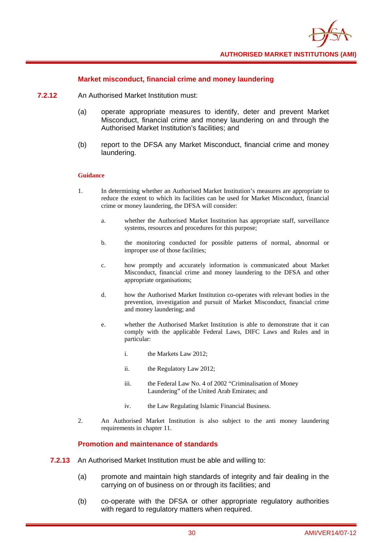

#### **Market misconduct, financial crime and money laundering**

- **7.2.12** An Authorised Market Institution must:
	- (a) operate appropriate measures to identify, deter and prevent Market Misconduct, financial crime and money laundering on and through the Authorised Market Institution's facilities; and
	- (b) report to the DFSA any Market Misconduct, financial crime and money laundering.

#### **Guidance**

- 1. In determining whether an Authorised Market Institution's measures are appropriate to reduce the extent to which its facilities can be used for Market Misconduct, financial crime or money laundering, the DFSA will consider:
	- a. whether the Authorised Market Institution has appropriate staff, surveillance systems, resources and procedures for this purpose;
	- b. the monitoring conducted for possible patterns of normal, abnormal or improper use of those facilities;
	- c. how promptly and accurately information is communicated about Market Misconduct, financial crime and money laundering to the DFSA and other appropriate organisations;
	- d. how the Authorised Market Institution co-operates with relevant bodies in the prevention, investigation and pursuit of Market Misconduct, financial crime and money laundering; and
	- e. whether the Authorised Market Institution is able to demonstrate that it can comply with the applicable Federal Laws, DIFC Laws and Rules and in particular:
		- i. the Markets Law 2012;
		- ii. the Regulatory Law 2012;
		- iii. the Federal Law No. 4 of 2002 "Criminalisation of Money Laundering" of the United Arab Emirates; and
		- iv. the Law Regulating Islamic Financial Business.
- 2. An Authorised Market Institution is also subject to the anti money laundering requirements in chapter 11.

#### **Promotion and maintenance of standards**

- **7.2.13** An Authorised Market Institution must be able and willing to:
	- (a) promote and maintain high standards of integrity and fair dealing in the carrying on of business on or through its facilities; and
	- (b) co-operate with the DFSA or other appropriate regulatory authorities with regard to regulatory matters when required.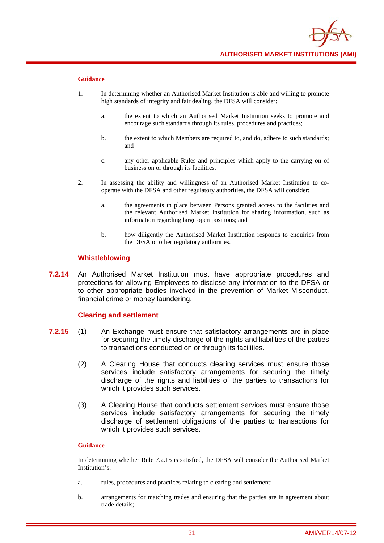

#### **Guidance**

- 1. In determining whether an Authorised Market Institution is able and willing to promote high standards of integrity and fair dealing, the DFSA will consider:
	- a. the extent to which an Authorised Market Institution seeks to promote and encourage such standards through its rules, procedures and practices;
	- b. the extent to which Members are required to, and do, adhere to such standards; and
	- c. any other applicable Rules and principles which apply to the carrying on of business on or through its facilities.
- 2. In assessing the ability and willingness of an Authorised Market Institution to cooperate with the DFSA and other regulatory authorities, the DFSA will consider:
	- a. the agreements in place between Persons granted access to the facilities and the relevant Authorised Market Institution for sharing information, such as information regarding large open positions; and
	- b. how diligently the Authorised Market Institution responds to enquiries from the DFSA or other regulatory authorities.

#### **Whistleblowing**

**7.2.14** An Authorised Market Institution must have appropriate procedures and protections for allowing Employees to disclose any information to the DFSA or to other appropriate bodies involved in the prevention of Market Misconduct, financial crime or money laundering.

#### **Clearing and settlement**

- **7.2.15** (1) An Exchange must ensure that satisfactory arrangements are in place for securing the timely discharge of the rights and liabilities of the parties to transactions conducted on or through its facilities.
	- (2) A Clearing House that conducts clearing services must ensure those services include satisfactory arrangements for securing the timely discharge of the rights and liabilities of the parties to transactions for which it provides such services.
	- (3) A Clearing House that conducts settlement services must ensure those services include satisfactory arrangements for securing the timely discharge of settlement obligations of the parties to transactions for which it provides such services.

#### **Guidance**

In determining whether Rule 7.2.15 is satisfied, the DFSA will consider the Authorised Market Institution's:

- a. rules, procedures and practices relating to clearing and settlement;
- b. arrangements for matching trades and ensuring that the parties are in agreement about trade details;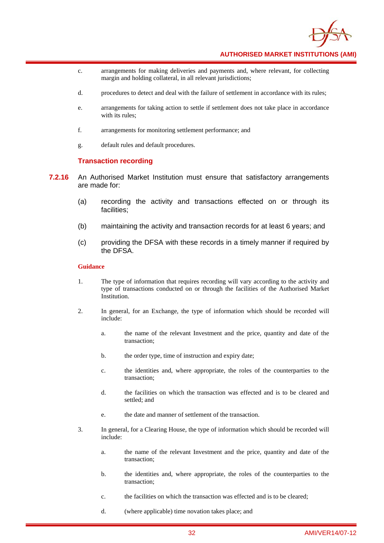

- c. arrangements for making deliveries and payments and, where relevant, for collecting margin and holding collateral, in all relevant jurisdictions;
- d. procedures to detect and deal with the failure of settlement in accordance with its rules;
- e. arrangements for taking action to settle if settlement does not take place in accordance with its rules;
- f. arrangements for monitoring settlement performance; and
- g. default rules and default procedures.

#### **Transaction recording**

- **7.2.16** An Authorised Market Institution must ensure that satisfactory arrangements are made for:
	- (a) recording the activity and transactions effected on or through its facilities;
	- (b) maintaining the activity and transaction records for at least 6 years; and
	- (c) providing the DFSA with these records in a timely manner if required by the DFSA.

- 1. The type of information that requires recording will vary according to the activity and type of transactions conducted on or through the facilities of the Authorised Market Institution.
- 2. In general, for an Exchange, the type of information which should be recorded will include:
	- a. the name of the relevant Investment and the price, quantity and date of the transaction;
	- b. the order type, time of instruction and expiry date;
	- c. the identities and, where appropriate, the roles of the counterparties to the transaction;
	- d. the facilities on which the transaction was effected and is to be cleared and settled; and
	- e. the date and manner of settlement of the transaction.
- 3. In general, for a Clearing House, the type of information which should be recorded will include:
	- a. the name of the relevant Investment and the price, quantity and date of the transaction;
	- b. the identities and, where appropriate, the roles of the counterparties to the transaction;
	- c. the facilities on which the transaction was effected and is to be cleared;
	- d. (where applicable) time novation takes place; and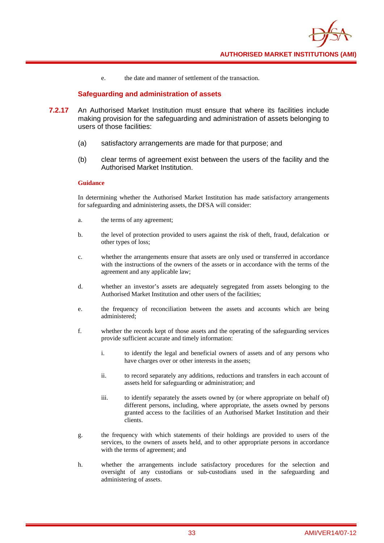

e. the date and manner of settlement of the transaction.

### **Safeguarding and administration of assets**

- **7.2.17** An Authorised Market Institution must ensure that where its facilities include making provision for the safeguarding and administration of assets belonging to users of those facilities:
	- (a) satisfactory arrangements are made for that purpose; and
	- (b) clear terms of agreement exist between the users of the facility and the Authorised Market Institution.

#### **Guidance**

In determining whether the Authorised Market Institution has made satisfactory arrangements for safeguarding and administering assets, the DFSA will consider:

- a. the terms of any agreement;
- b. the level of protection provided to users against the risk of theft, fraud, defalcation or other types of loss;
- c. whether the arrangements ensure that assets are only used or transferred in accordance with the instructions of the owners of the assets or in accordance with the terms of the agreement and any applicable law;
- d. whether an investor's assets are adequately segregated from assets belonging to the Authorised Market Institution and other users of the facilities;
- e. the frequency of reconciliation between the assets and accounts which are being administered;
- f. whether the records kept of those assets and the operating of the safeguarding services provide sufficient accurate and timely information:
	- i. to identify the legal and beneficial owners of assets and of any persons who have charges over or other interests in the assets;
	- ii. to record separately any additions, reductions and transfers in each account of assets held for safeguarding or administration; and
	- iii. to identify separately the assets owned by (or where appropriate on behalf of) different persons, including, where appropriate, the assets owned by persons granted access to the facilities of an Authorised Market Institution and their clients.
- g. the frequency with which statements of their holdings are provided to users of the services, to the owners of assets held, and to other appropriate persons in accordance with the terms of agreement; and
- h. whether the arrangements include satisfactory procedures for the selection and oversight of any custodians or sub-custodians used in the safeguarding and administering of assets.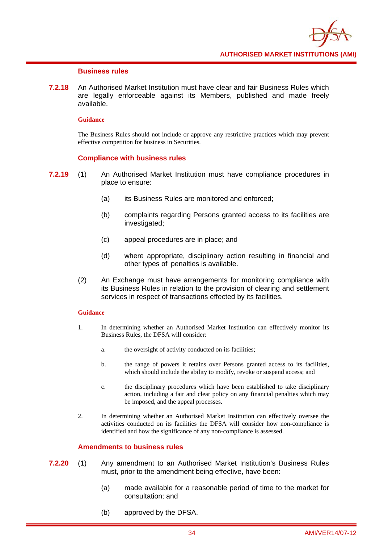

### **Business rules**

**7.2.18** An Authorised Market Institution must have clear and fair Business Rules which are legally enforceable against its Members, published and made freely available.

#### **Guidance**

The Business Rules should not include or approve any restrictive practices which may prevent effective competition for business in Securities.

### **Compliance with business rules**

- **7.2.19** (1) An Authorised Market Institution must have compliance procedures in place to ensure:
	- (a) its Business Rules are monitored and enforced;
	- (b) complaints regarding Persons granted access to its facilities are investigated;
	- (c) appeal procedures are in place; and
	- (d) where appropriate, disciplinary action resulting in financial and other types of penalties is available.
	- (2) An Exchange must have arrangements for monitoring compliance with its Business Rules in relation to the provision of clearing and settlement services in respect of transactions effected by its facilities.

#### **Guidance**

- 1. In determining whether an Authorised Market Institution can effectively monitor its Business Rules, the DFSA will consider:
	- a. the oversight of activity conducted on its facilities;
	- b. the range of powers it retains over Persons granted access to its facilities, which should include the ability to modify, revoke or suspend access; and
	- c. the disciplinary procedures which have been established to take disciplinary action, including a fair and clear policy on any financial penalties which may be imposed, and the appeal processes.
- 2. In determining whether an Authorised Market Institution can effectively oversee the activities conducted on its facilities the DFSA will consider how non-compliance is identified and how the significance of any non-compliance is assessed.

### **Amendments to business rules**

- **7.2.20** (1) Any amendment to an Authorised Market Institution's Business Rules must, prior to the amendment being effective, have been:
	- (a) made available for a reasonable period of time to the market for consultation; and
	- (b) approved by the DFSA.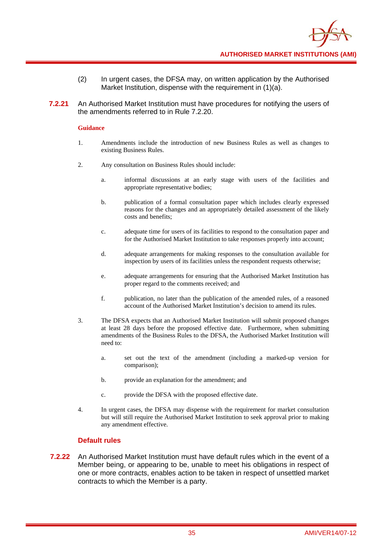

- (2) In urgent cases, the DFSA may, on written application by the Authorised Market Institution, dispense with the requirement in (1)(a).
- **7.2.21** An Authorised Market Institution must have procedures for notifying the users of the amendments referred to in Rule 7.2.20.

- 1. Amendments include the introduction of new Business Rules as well as changes to existing Business Rules.
- 2. Any consultation on Business Rules should include:
	- a. informal discussions at an early stage with users of the facilities and appropriate representative bodies;
	- b. publication of a formal consultation paper which includes clearly expressed reasons for the changes and an appropriately detailed assessment of the likely costs and benefits;
	- c. adequate time for users of its facilities to respond to the consultation paper and for the Authorised Market Institution to take responses properly into account;
	- d. adequate arrangements for making responses to the consultation available for inspection by users of its facilities unless the respondent requests otherwise;
	- e. adequate arrangements for ensuring that the Authorised Market Institution has proper regard to the comments received; and
	- f. publication, no later than the publication of the amended rules, of a reasoned account of the Authorised Market Institution's decision to amend its rules.
- 3. The DFSA expects that an Authorised Market Institution will submit proposed changes at least 28 days before the proposed effective date. Furthermore, when submitting amendments of the Business Rules to the DFSA, the Authorised Market Institution will need to:
	- a. set out the text of the amendment (including a marked-up version for comparison);
	- b. provide an explanation for the amendment; and
	- c. provide the DFSA with the proposed effective date.
- 4. In urgent cases, the DFSA may dispense with the requirement for market consultation but will still require the Authorised Market Institution to seek approval prior to making any amendment effective.

### **Default rules**

**7.2.22** An Authorised Market Institution must have default rules which in the event of a Member being, or appearing to be, unable to meet his obligations in respect of one or more contracts, enables action to be taken in respect of unsettled market contracts to which the Member is a party.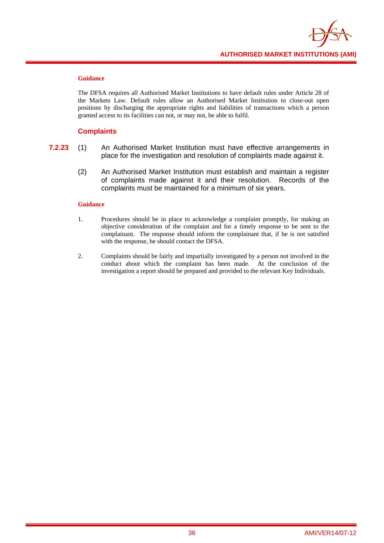

The DFSA requires all Authorised Market Institutions to have default rules under Article 28 of the Markets Law. Default rules allow an Authorised Market Institution to close-out open positions by discharging the appropriate rights and liabilities of transactions which a person granted access to its facilities can not, or may not, be able to fulfil.

### **Complaints**

- **7.2.23** (1) An Authorised Market Institution must have effective arrangements in place for the investigation and resolution of complaints made against it.
	- (2) An Authorised Market Institution must establish and maintain a register of complaints made against it and their resolution. Records of the complaints must be maintained for a minimum of six years.

- 1. Procedures should be in place to acknowledge a complaint promptly, for making an objective consideration of the complaint and for a timely response to be sent to the complainant. The response should inform the complainant that, if he is not satisfied with the response, he should contact the DFSA.
- 2. Complaints should be fairly and impartially investigated by a person not involved in the conduct about which the complaint has been made. At the conclusion of the investigation a report should be prepared and provided to the relevant Key Individuals.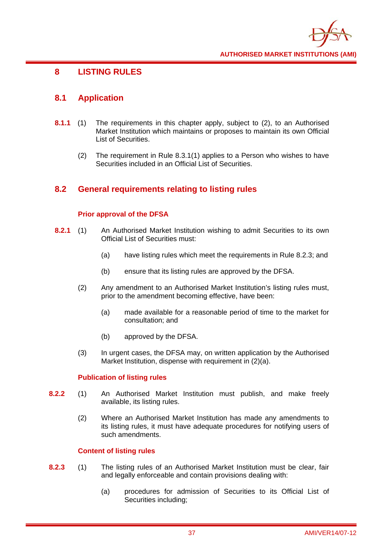

# **8 LISTING RULES**

# **8.1 Application**

- **8.1.1** (1) The requirements in this chapter apply, subject to (2), to an Authorised Market Institution which maintains or proposes to maintain its own Official List of Securities.
	- (2) The requirement in Rule 8.3.1(1) applies to a Person who wishes to have Securities included in an Official List of Securities.

# **8.2 General requirements relating to listing rules**

### **Prior approval of the DFSA**

- **8.2.1** (1) An Authorised Market Institution wishing to admit Securities to its own Official List of Securities must:
	- (a) have listing rules which meet the requirements in Rule 8.2.3; and
	- (b) ensure that its listing rules are approved by the DFSA.
	- (2) Any amendment to an Authorised Market Institution's listing rules must, prior to the amendment becoming effective, have been:
		- (a) made available for a reasonable period of time to the market for consultation; and
		- (b) approved by the DFSA.
	- (3) In urgent cases, the DFSA may, on written application by the Authorised Market Institution, dispense with requirement in (2)(a).

### **Publication of listing rules**

- **8.2.2** (1) An Authorised Market Institution must publish, and make freely available, its listing rules.
	- (2) Where an Authorised Market Institution has made any amendments to its listing rules, it must have adequate procedures for notifying users of such amendments.

### **Content of listing rules**

- **8.2.3** (1) The listing rules of an Authorised Market Institution must be clear, fair and legally enforceable and contain provisions dealing with:
	- (a) procedures for admission of Securities to its Official List of Securities including;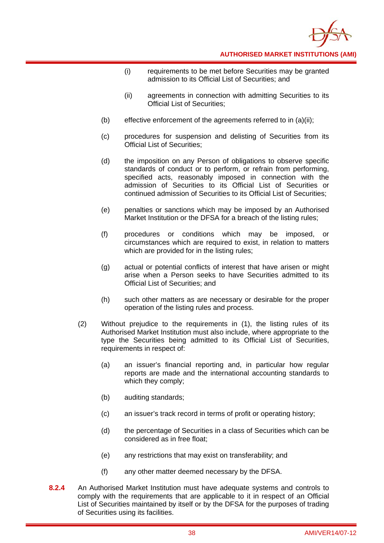

- (i) requirements to be met before Securities may be granted admission to its Official List of Securities; and
- (ii) agreements in connection with admitting Securities to its Official List of Securities;
- (b) effective enforcement of the agreements referred to in (a)(ii);
- (c) procedures for suspension and delisting of Securities from its Official List of Securities;
- (d) the imposition on any Person of obligations to observe specific standards of conduct or to perform, or refrain from performing, specified acts, reasonably imposed in connection with the admission of Securities to its Official List of Securities or continued admission of Securities to its Official List of Securities;
- (e) penalties or sanctions which may be imposed by an Authorised Market Institution or the DFSA for a breach of the listing rules;
- (f) procedures or conditions which may be imposed, or circumstances which are required to exist, in relation to matters which are provided for in the listing rules;
- (g) actual or potential conflicts of interest that have arisen or might arise when a Person seeks to have Securities admitted to its Official List of Securities; and
- (h) such other matters as are necessary or desirable for the proper operation of the listing rules and process.
- (2) Without prejudice to the requirements in (1), the listing rules of its Authorised Market Institution must also include, where appropriate to the type the Securities being admitted to its Official List of Securities, requirements in respect of:
	- (a) an issuer's financial reporting and, in particular how regular reports are made and the international accounting standards to which they comply;
	- (b) auditing standards;
	- (c) an issuer's track record in terms of profit or operating history;
	- (d) the percentage of Securities in a class of Securities which can be considered as in free float;
	- (e) any restrictions that may exist on transferability; and
	- (f) any other matter deemed necessary by the DFSA.
- **8.2.4** An Authorised Market Institution must have adequate systems and controls to comply with the requirements that are applicable to it in respect of an Official List of Securities maintained by itself or by the DFSA for the purposes of trading of Securities using its facilities.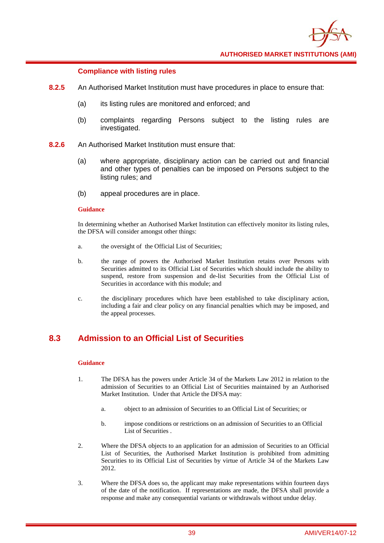

### **Compliance with listing rules**

- **8.2.5** An Authorised Market Institution must have procedures in place to ensure that:
	- (a) its listing rules are monitored and enforced; and
	- (b) complaints regarding Persons subject to the listing rules are investigated.
- **8.2.6** An Authorised Market Institution must ensure that:
	- (a) where appropriate, disciplinary action can be carried out and financial and other types of penalties can be imposed on Persons subject to the listing rules; and
	- (b) appeal procedures are in place.

#### **Guidance**

In determining whether an Authorised Market Institution can effectively monitor its listing rules, the DFSA will consider amongst other things:

- a. the oversight of the Official List of Securities;
- b. the range of powers the Authorised Market Institution retains over Persons with Securities admitted to its Official List of Securities which should include the ability to suspend, restore from suspension and de-list Securities from the Official List of Securities in accordance with this module; and
- c. the disciplinary procedures which have been established to take disciplinary action, including a fair and clear policy on any financial penalties which may be imposed, and the appeal processes.

# **8.3 Admission to an Official List of Securities**

- 1. The DFSA has the powers under Article 34 of the Markets Law 2012 in relation to the admission of Securities to an Official List of Securities maintained by an Authorised Market Institution. Under that Article the DFSA may:
	- a. object to an admission of Securities to an Official List of Securities; or
	- b. impose conditions or restrictions on an admission of Securities to an Official List of Securities .
- 2. Where the DFSA objects to an application for an admission of Securities to an Official List of Securities, the Authorised Market Institution is prohibited from admitting Securities to its Official List of Securities by virtue of Article 34 of the Markets Law 2012.
- 3. Where the DFSA does so, the applicant may make representations within fourteen days of the date of the notification. If representations are made, the DFSA shall provide a response and make any consequential variants or withdrawals without undue delay.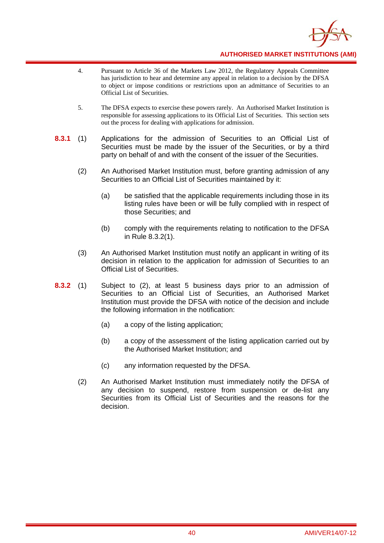

- 4. Pursuant to Article 36 of the Markets Law 2012, the Regulatory Appeals Committee has jurisdiction to hear and determine any appeal in relation to a decision by the DFSA to object or impose conditions or restrictions upon an admittance of Securities to an Official List of Securities.
- 5. The DFSA expects to exercise these powers rarely. An Authorised Market Institution is responsible for assessing applications to its Official List of Securities. This section sets out the process for dealing with applications for admission.
- **8.3.1** (1) Applications for the admission of Securities to an Official List of Securities must be made by the issuer of the Securities, or by a third party on behalf of and with the consent of the issuer of the Securities.
	- (2) An Authorised Market Institution must, before granting admission of any Securities to an Official List of Securities maintained by it:
		- (a) be satisfied that the applicable requirements including those in its listing rules have been or will be fully complied with in respect of those Securities; and
		- (b) comply with the requirements relating to notification to the DFSA in Rule 8.3.2(1).
	- (3) An Authorised Market Institution must notify an applicant in writing of its decision in relation to the application for admission of Securities to an Official List of Securities.
- **8.3.2** (1) Subject to (2), at least 5 business days prior to an admission of Securities to an Official List of Securities, an Authorised Market Institution must provide the DFSA with notice of the decision and include the following information in the notification:
	- (a) a copy of the listing application;
	- (b) a copy of the assessment of the listing application carried out by the Authorised Market Institution; and
	- (c) any information requested by the DFSA.
	- (2) An Authorised Market Institution must immediately notify the DFSA of any decision to suspend, restore from suspension or de-list any Securities from its Official List of Securities and the reasons for the decision.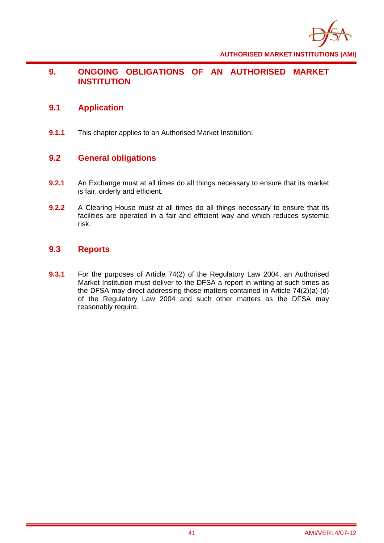

# **9. ONGOING OBLIGATIONS OF AN AUTHORISED MARKET INSTITUTION**

# **9.1 Application**

**9.1.1** This chapter applies to an Authorised Market Institution.

# **9.2 General obligations**

- **9.2.1** An Exchange must at all times do all things necessary to ensure that its market is fair, orderly and efficient.
- **9.2.2** A Clearing House must at all times do all things necessary to ensure that its facilities are operated in a fair and efficient way and which reduces systemic risk.

# **9.3 Reports**

**9.3.1** For the purposes of Article 74(2) of the Regulatory Law 2004, an Authorised Market Institution must deliver to the DFSA a report in writing at such times as the DFSA may direct addressing those matters contained in Article 74(2)(a)-(d) of the Regulatory Law 2004 and such other matters as the DFSA may reasonably require.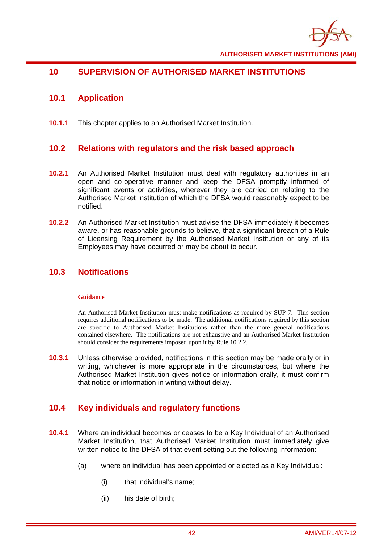

# **10 SUPERVISION OF AUTHORISED MARKET INSTITUTIONS**

# **10.1 Application**

**10.1.1** This chapter applies to an Authorised Market Institution.

# **10.2 Relations with regulators and the risk based approach**

- **10.2.1** An Authorised Market Institution must deal with regulatory authorities in an open and co-operative manner and keep the DFSA promptly informed of significant events or activities, wherever they are carried on relating to the Authorised Market Institution of which the DFSA would reasonably expect to be notified.
- **10.2.2** An Authorised Market Institution must advise the DFSA immediately it becomes aware, or has reasonable grounds to believe, that a significant breach of a Rule of Licensing Requirement by the Authorised Market Institution or any of its Employees may have occurred or may be about to occur.

## **10.3 Notifications**

### **Guidance**

An Authorised Market Institution must make notifications as required by SUP 7. This section requires additional notifications to be made. The additional notifications required by this section are specific to Authorised Market Institutions rather than the more general notifications contained elsewhere. The notifications are not exhaustive and an Authorised Market Institution should consider the requirements imposed upon it by Rule 10.2.2.

**10.3.1** Unless otherwise provided, notifications in this section may be made orally or in writing, whichever is more appropriate in the circumstances, but where the Authorised Market Institution gives notice or information orally, it must confirm that notice or information in writing without delay.

# **10.4 Key individuals and regulatory functions**

- **10.4.1** Where an individual becomes or ceases to be a Key Individual of an Authorised Market Institution, that Authorised Market Institution must immediately give written notice to the DFSA of that event setting out the following information:
	- (a) where an individual has been appointed or elected as a Key Individual:
		- (i) that individual's name;
		- (ii) his date of birth;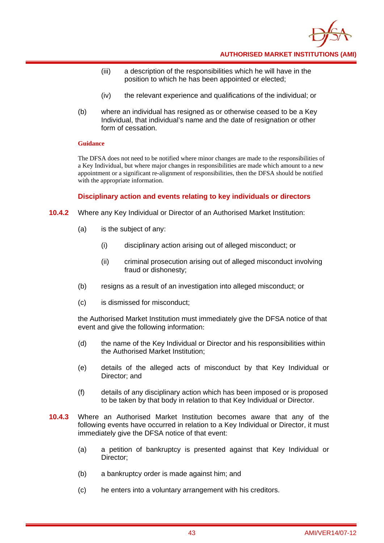

- (iii) a description of the responsibilities which he will have in the position to which he has been appointed or elected;
- (iv) the relevant experience and qualifications of the individual; or
- (b) where an individual has resigned as or otherwise ceased to be a Key Individual, that individual's name and the date of resignation or other form of cessation.

The DFSA does not need to be notified where minor changes are made to the responsibilities of a Key Individual, but where major changes in responsibilities are made which amount to a new appointment or a significant re-alignment of responsibilities, then the DFSA should be notified with the appropriate information.

### **Disciplinary action and events relating to key individuals or directors**

- **10.4.2** Where any Key Individual or Director of an Authorised Market Institution:
	- (a) is the subject of any:
		- (i) disciplinary action arising out of alleged misconduct; or
		- (ii) criminal prosecution arising out of alleged misconduct involving fraud or dishonesty;
	- (b) resigns as a result of an investigation into alleged misconduct; or
	- (c) is dismissed for misconduct;

the Authorised Market Institution must immediately give the DFSA notice of that event and give the following information:

- (d) the name of the Key Individual or Director and his responsibilities within the Authorised Market Institution;
- (e) details of the alleged acts of misconduct by that Key Individual or Director; and
- (f) details of any disciplinary action which has been imposed or is proposed to be taken by that body in relation to that Key Individual or Director.
- **10.4.3** Where an Authorised Market Institution becomes aware that any of the following events have occurred in relation to a Key Individual or Director, it must immediately give the DFSA notice of that event:
	- (a) a petition of bankruptcy is presented against that Key Individual or Director;
	- (b) a bankruptcy order is made against him; and
	- (c) he enters into a voluntary arrangement with his creditors.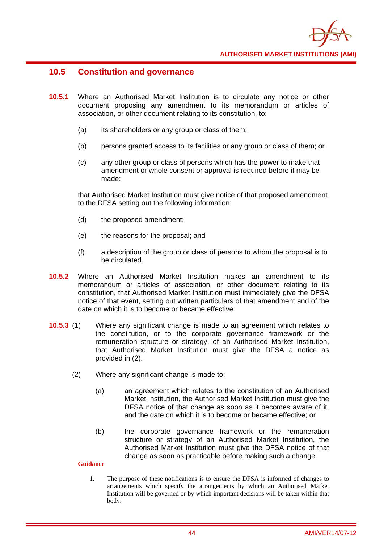

### **10.5 Constitution and governance**

- **10.5.1** Where an Authorised Market Institution is to circulate any notice or other document proposing any amendment to its memorandum or articles of association, or other document relating to its constitution, to:
	- (a) its shareholders or any group or class of them;
	- (b) persons granted access to its facilities or any group or class of them; or
	- (c) any other group or class of persons which has the power to make that amendment or whole consent or approval is required before it may be made:

that Authorised Market Institution must give notice of that proposed amendment to the DFSA setting out the following information:

- (d) the proposed amendment;
- (e) the reasons for the proposal; and
- (f) a description of the group or class of persons to whom the proposal is to be circulated.
- **10.5.2** Where an Authorised Market Institution makes an amendment to its memorandum or articles of association, or other document relating to its constitution, that Authorised Market Institution must immediately give the DFSA notice of that event, setting out written particulars of that amendment and of the date on which it is to become or became effective.
- **10.5.3** (1) Where any significant change is made to an agreement which relates to the constitution, or to the corporate governance framework or the remuneration structure or strategy, of an Authorised Market Institution, that Authorised Market Institution must give the DFSA a notice as provided in (2).
	- (2) Where any significant change is made to:
		- (a) an agreement which relates to the constitution of an Authorised Market Institution, the Authorised Market Institution must give the DFSA notice of that change as soon as it becomes aware of it, and the date on which it is to become or became effective; or
		- (b) the corporate governance framework or the remuneration structure or strategy of an Authorised Market Institution, the Authorised Market Institution must give the DFSA notice of that change as soon as practicable before making such a change.

### **Guidance**

1. The purpose of these notifications is to ensure the DFSA is informed of changes to arrangements which specify the arrangements by which an Authorised Market Institution will be governed or by which important decisions will be taken within that body.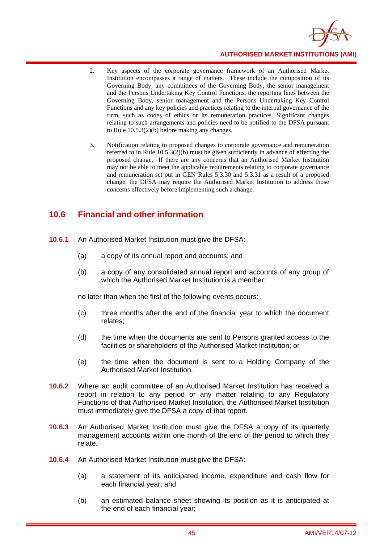

- 2. Key aspects of the corporate governance framework of an Authorised Market Institution encompasses a range of matters. These include the composition of its Governing Body, any committees of the Governing Body, the senior management and the Persons Undertaking Key Control Functions, the reporting lines between the Governing Body, senior management and the Persons Undertaking Key Control Functions and any key policies and practices relating to the internal governance of the firm, such as codes of ethics or its remuneration practices. Significant changes relating to such arrangements and policies need to be notified to the DFSA pursuant to Rule 10.5.3(2)(b) before making any changes.
- 3. Notification relating to proposed changes to corporate governance and remuneration referred to in Rule 10.5.3(2)(b) must be given sufficiently in advance of effecting the proposed change. If there are any concerns that an Authorised Market Institution may not be able to meet the applicable requirements relating to corporate governance and remuneration set out in GEN Rules 5.3.30 and 5.3.31 as a result of a proposed change, the DFSA may require the Authorised Market Institution to address those concerns effectively before implementing such a change.

# **10.6 Financial and other information**

- **10.6.1** An Authorised Market Institution must give the DFSA:
	- (a) a copy of its annual report and accounts; and
	- (b) a copy of any consolidated annual report and accounts of any group of which the Authorised Market Institution is a member;

no later than when the first of the following events occurs:

- (c) three months after the end of the financial year to which the document relates;
- (d) the time when the documents are sent to Persons granted access to the facilities or shareholders of the Authorised Market Institution; or
- (e) the time when the document is sent to a Holding Company of the Authorised Market Institution.
- **10.6.2** Where an audit committee of an Authorised Market Institution has received a report in relation to any period or any matter relating to any Regulatory Functions of that Authorised Market Institution, the Authorised Market Institution must immediately give the DFSA a copy of that report.
- **10.6.3** An Authorised Market Institution must give the DFSA a copy of its quarterly management accounts within one month of the end of the period to which they relate.
- **10.6.4** An Authorised Market Institution must give the DFSA:
	- (a) a statement of its anticipated income, expenditure and cash flow for each financial year; and
	- (b) an estimated balance sheet showing its position as it is anticipated at the end of each financial year;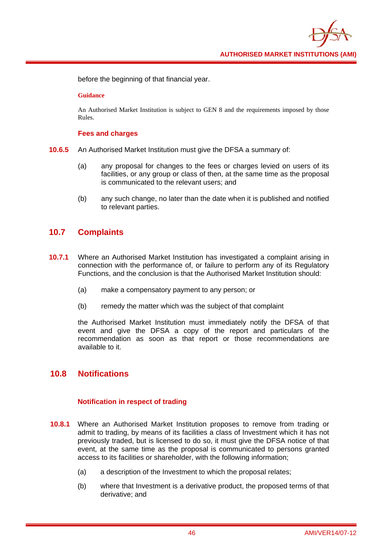

before the beginning of that financial year.

#### **Guidance**

An Authorised Market Institution is subject to GEN 8 and the requirements imposed by those Rules.

### **Fees and charges**

- **10.6.5** An Authorised Market Institution must give the DFSA a summary of:
	- (a) any proposal for changes to the fees or charges levied on users of its facilities, or any group or class of then, at the same time as the proposal is communicated to the relevant users; and
	- (b) any such change, no later than the date when it is published and notified to relevant parties.

### **10.7 Complaints**

- **10.7.1** Where an Authorised Market Institution has investigated a complaint arising in connection with the performance of, or failure to perform any of its Regulatory Functions, and the conclusion is that the Authorised Market Institution should:
	- (a) make a compensatory payment to any person; or
	- (b) remedy the matter which was the subject of that complaint

the Authorised Market Institution must immediately notify the DFSA of that event and give the DFSA a copy of the report and particulars of the recommendation as soon as that report or those recommendations are available to it.

### **10.8 Notifications**

### **Notification in respect of trading**

- **10.8.1** Where an Authorised Market Institution proposes to remove from trading or admit to trading, by means of its facilities a class of Investment which it has not previously traded, but is licensed to do so, it must give the DFSA notice of that event, at the same time as the proposal is communicated to persons granted access to its facilities or shareholder, with the following information;
	- (a) a description of the Investment to which the proposal relates;
	- (b) where that Investment is a derivative product, the proposed terms of that derivative; and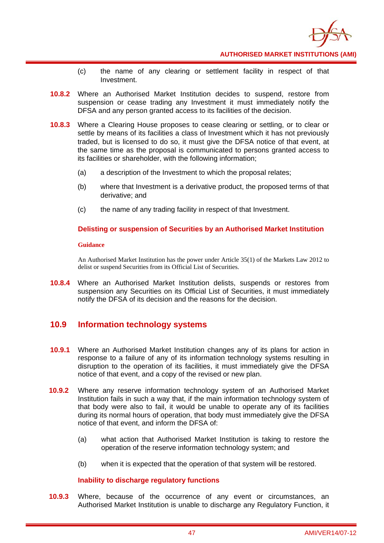

- (c) the name of any clearing or settlement facility in respect of that Investment.
- **10.8.2** Where an Authorised Market Institution decides to suspend, restore from suspension or cease trading any Investment it must immediately notify the DFSA and any person granted access to its facilities of the decision.
- **10.8.3** Where a Clearing House proposes to cease clearing or settling, or to clear or settle by means of its facilities a class of Investment which it has not previously traded, but is licensed to do so, it must give the DFSA notice of that event, at the same time as the proposal is communicated to persons granted access to its facilities or shareholder, with the following information;
	- (a) a description of the Investment to which the proposal relates;
	- (b) where that Investment is a derivative product, the proposed terms of that derivative; and
	- (c) the name of any trading facility in respect of that Investment.

### **Delisting or suspension of Securities by an Authorised Market Institution**

#### **Guidance**

An Authorised Market Institution has the power under Article 35(1) of the Markets Law 2012 to delist or suspend Securities from its Official List of Securities.

**10.8.4** Where an Authorised Market Institution delists, suspends or restores from suspension any Securities on its Official List of Securities, it must immediately notify the DFSA of its decision and the reasons for the decision.

### **10.9 Information technology systems**

- **10.9.1** Where an Authorised Market Institution changes any of its plans for action in response to a failure of any of its information technology systems resulting in disruption to the operation of its facilities, it must immediately give the DFSA notice of that event, and a copy of the revised or new plan.
- **10.9.2** Where any reserve information technology system of an Authorised Market Institution fails in such a way that, if the main information technology system of that body were also to fail, it would be unable to operate any of its facilities during its normal hours of operation, that body must immediately give the DFSA notice of that event, and inform the DFSA of:
	- (a) what action that Authorised Market Institution is taking to restore the operation of the reserve information technology system; and
	- (b) when it is expected that the operation of that system will be restored.

### **Inability to discharge regulatory functions**

**10.9.3** Where, because of the occurrence of any event or circumstances, an Authorised Market Institution is unable to discharge any Regulatory Function, it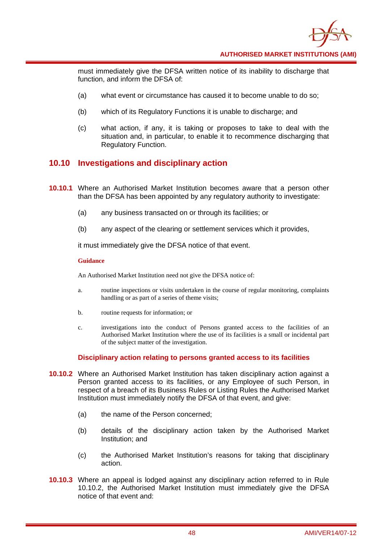

must immediately give the DFSA written notice of its inability to discharge that function, and inform the DFSA of:

- (a) what event or circumstance has caused it to become unable to do so;
- (b) which of its Regulatory Functions it is unable to discharge; and
- (c) what action, if any, it is taking or proposes to take to deal with the situation and, in particular, to enable it to recommence discharging that Regulatory Function.

# **10.10 Investigations and disciplinary action**

- **10.10.1** Where an Authorised Market Institution becomes aware that a person other than the DFSA has been appointed by any regulatory authority to investigate:
	- (a) any business transacted on or through its facilities; or
	- (b) any aspect of the clearing or settlement services which it provides,

it must immediately give the DFSA notice of that event.

#### **Guidance**

An Authorised Market Institution need not give the DFSA notice of:

- a. routine inspections or visits undertaken in the course of regular monitoring, complaints handling or as part of a series of theme visits;
- b. routine requests for information; or
- c. investigations into the conduct of Persons granted access to the facilities of an Authorised Market Institution where the use of its facilities is a small or incidental part of the subject matter of the investigation.

### **Disciplinary action relating to persons granted access to its facilities**

- **10.10.2** Where an Authorised Market Institution has taken disciplinary action against a Person granted access to its facilities, or any Employee of such Person, in respect of a breach of its Business Rules or Listing Rules the Authorised Market Institution must immediately notify the DFSA of that event, and give:
	- (a) the name of the Person concerned;
	- (b) details of the disciplinary action taken by the Authorised Market Institution; and
	- (c) the Authorised Market Institution's reasons for taking that disciplinary action.
- **10.10.3** Where an appeal is lodged against any disciplinary action referred to in Rule 10.10.2, the Authorised Market Institution must immediately give the DFSA notice of that event and: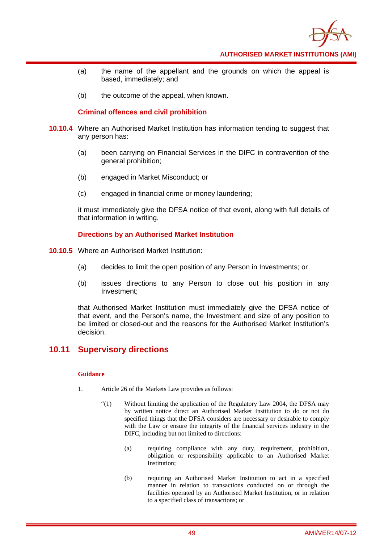

- (a) the name of the appellant and the grounds on which the appeal is based, immediately; and
- (b) the outcome of the appeal, when known.

### **Criminal offences and civil prohibition**

- **10.10.4** Where an Authorised Market Institution has information tending to suggest that any person has:
	- (a) been carrying on Financial Services in the DIFC in contravention of the general prohibition;
	- (b) engaged in Market Misconduct; or
	- (c) engaged in financial crime or money laundering;

it must immediately give the DFSA notice of that event, along with full details of that information in writing.

### **Directions by an Authorised Market Institution**

- **10.10.5** Where an Authorised Market Institution:
	- (a) decides to limit the open position of any Person in Investments; or
	- (b) issues directions to any Person to close out his position in any Investment;

that Authorised Market Institution must immediately give the DFSA notice of that event, and the Person's name, the Investment and size of any position to be limited or closed-out and the reasons for the Authorised Market Institution's decision.

### **10.11 Supervisory directions**

- 1. Article 26 of the Markets Law provides as follows:
	- "(1) Without limiting the application of the Regulatory Law 2004, the DFSA may by written notice direct an Authorised Market Institution to do or not do specified things that the DFSA considers are necessary or desirable to comply with the Law or ensure the integrity of the financial services industry in the DIFC, including but not limited to directions:
		- (a) requiring compliance with any duty, requirement, prohibition, obligation or responsibility applicable to an Authorised Market Institution;
		- (b) requiring an Authorised Market Institution to act in a specified manner in relation to transactions conducted on or through the facilities operated by an Authorised Market Institution, or in relation to a specified class of transactions; or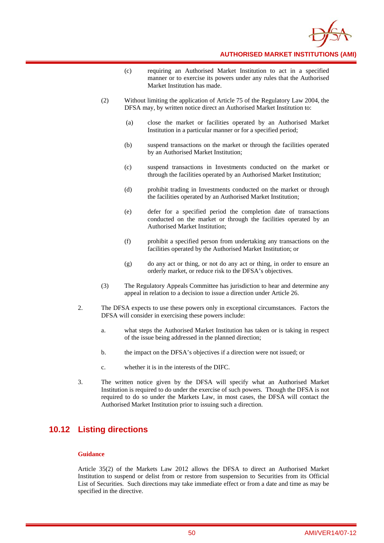

- (c) requiring an Authorised Market Institution to act in a specified manner or to exercise its powers under any rules that the Authorised Market Institution has made.
- (2) Without limiting the application of Article 75 of the Regulatory Law 2004, the DFSA may, by written notice direct an Authorised Market Institution to:
	- (a) close the market or facilities operated by an Authorised Market Institution in a particular manner or for a specified period;
	- (b) suspend transactions on the market or through the facilities operated by an Authorised Market Institution;
	- (c) suspend transactions in Investments conducted on the market or through the facilities operated by an Authorised Market Institution;
	- (d) prohibit trading in Investments conducted on the market or through the facilities operated by an Authorised Market Institution;
	- (e) defer for a specified period the completion date of transactions conducted on the market or through the facilities operated by an Authorised Market Institution;
	- (f) prohibit a specified person from undertaking any transactions on the facilities operated by the Authorised Market Institution; or
	- (g) do any act or thing, or not do any act or thing, in order to ensure an orderly market, or reduce risk to the DFSA's objectives.
- (3) The Regulatory Appeals Committee has jurisdiction to hear and determine any appeal in relation to a decision to issue a direction under Article 26.
- 2. The DFSA expects to use these powers only in exceptional circumstances. Factors the DFSA will consider in exercising these powers include:
	- a. what steps the Authorised Market Institution has taken or is taking in respect of the issue being addressed in the planned direction;
	- b. the impact on the DFSA's objectives if a direction were not issued; or
	- c. whether it is in the interests of the DIFC.
- 3. The written notice given by the DFSA will specify what an Authorised Market Institution is required to do under the exercise of such powers. Though the DFSA is not required to do so under the Markets Law, in most cases, the DFSA will contact the Authorised Market Institution prior to issuing such a direction.

### **10.12 Listing directions**

#### **Guidance**

Article 35(2) of the Markets Law 2012 allows the DFSA to direct an Authorised Market Institution to suspend or delist from or restore from suspension to Securities from its Official List of Securities. Such directions may take immediate effect or from a date and time as may be specified in the directive.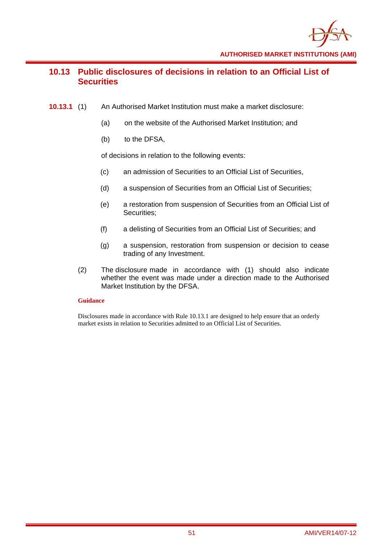

# **10.13 Public disclosures of decisions in relation to an Official List of Securities**

- **10.13.1** (1) An Authorised Market Institution must make a market disclosure:
	- (a) on the website of the Authorised Market Institution; and
	- (b) to the DFSA,

of decisions in relation to the following events:

- (c) an admission of Securities to an Official List of Securities,
- (d) a suspension of Securities from an Official List of Securities;
- (e) a restoration from suspension of Securities from an Official List of Securities;
- (f) a delisting of Securities from an Official List of Securities; and
- (g) a suspension, restoration from suspension or decision to cease trading of any Investment.
- (2) The disclosure made in accordance with (1) should also indicate whether the event was made under a direction made to the Authorised Market Institution by the DFSA.

### **Guidance**

Disclosures made in accordance with Rule 10.13.1 are designed to help ensure that an orderly market exists in relation to Securities admitted to an Official List of Securities.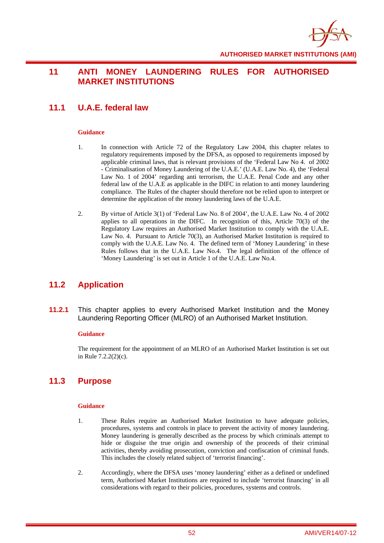

# **11 ANTI MONEY LAUNDERING RULES FOR AUTHORISED MARKET INSTITUTIONS**

# **11.1 U.A.E. federal law**

### **Guidance**

- 1. In connection with Article 72 of the Regulatory Law 2004, this chapter relates to regulatory requirements imposed by the DFSA, as opposed to requirements imposed by applicable criminal laws, that is relevant provisions of the 'Federal Law No 4. of 2002 - Criminalisation of Money Laundering of the U.A.E.' (U.A.E. Law No. 4), the 'Federal Law No. 1 of 2004' regarding anti terrorism, the U.A.E. Penal Code and any other federal law of the U.A.E as applicable in the DIFC in relation to anti money laundering compliance. The Rules of the chapter should therefore not be relied upon to interpret or determine the application of the money laundering laws of the U.A.E.
- 2. By virtue of Article 3(1) of 'Federal Law No. 8 of 2004', the U.A.E. Law No. 4 of 2002 applies to all operations in the DIFC. In recognition of this, Article 70(3) of the Regulatory Law requires an Authorised Market Institution to comply with the U.A.E. Law No. 4. Pursuant to Article 70(3), an Authorised Market Institution is required to comply with the U.A.E. Law No. 4. The defined term of 'Money Laundering' in these Rules follows that in the U.A.E. Law No.4. The legal definition of the offence of 'Money Laundering' is set out in Article 1 of the U.A.E. Law No.4.

# **11.2 Application**

**11.2.1** This chapter applies to every Authorised Market Institution and the Money Laundering Reporting Officer (MLRO) of an Authorised Market Institution.

#### **Guidance**

The requirement for the appointment of an MLRO of an Authorised Market Institution is set out in Rule 7.2.2(2)(c).

# **11.3 Purpose**

- 1. These Rules require an Authorised Market Institution to have adequate policies, procedures, systems and controls in place to prevent the activity of money laundering. Money laundering is generally described as the process by which criminals attempt to hide or disguise the true origin and ownership of the proceeds of their criminal activities, thereby avoiding prosecution, conviction and confiscation of criminal funds. This includes the closely related subject of 'terrorist financing'.
- 2. Accordingly, where the DFSA uses 'money laundering' either as a defined or undefined term, Authorised Market Institutions are required to include 'terrorist financing' in all considerations with regard to their policies, procedures, systems and controls.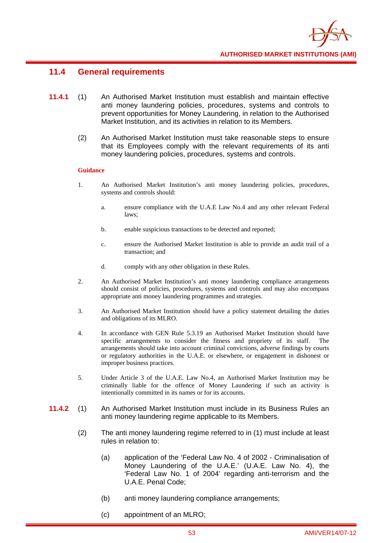

## **11.4 General requirements**

- **11.4.1** (1) An Authorised Market Institution must establish and maintain effective anti money laundering policies, procedures, systems and controls to prevent opportunities for Money Laundering, in relation to the Authorised Market Institution, and its activities in relation to its Members.
	- (2) An Authorised Market Institution must take reasonable steps to ensure that its Employees comply with the relevant requirements of its anti money laundering policies, procedures, systems and controls.

- 1. An Authorised Market Institution's anti money laundering policies, procedures, systems and controls should:
	- a. ensure compliance with the U.A.E Law No.4 and any other relevant Federal laws;
	- b. enable suspicious transactions to be detected and reported;
	- c. ensure the Authorised Market Institution is able to provide an audit trail of a transaction; and
	- d. comply with any other obligation in these Rules.
- 2. An Authorised Market Institution's anti money laundering compliance arrangements should consist of policies, procedures, systems and controls and may also encompass appropriate anti money laundering programmes and strategies.
- 3. An Authorised Market Institution should have a policy statement detailing the duties and obligations of its MLRO.
- 4. In accordance with GEN Rule 5.3.19 an Authorised Market Institution should have specific arrangements to consider the fitness and propriety of its staff. The arrangements should take into account criminal convictions, adverse findings by courts or regulatory authorities in the U.A.E. or elsewhere, or engagement in dishonest or improper business practices.
- 5. Under Article 3 of the U.A.E. Law No.4, an Authorised Market Institution may be criminally liable for the offence of Money Laundering if such an activity is intentionally committed in its names or for its accounts.
- **11.4.2** (1) An Authorised Market Institution must include in its Business Rules an anti money laundering regime applicable to its Members.
	- (2) The anti money laundering regime referred to in (1) must include at least rules in relation to:
		- (a) application of the 'Federal Law No. 4 of 2002 Criminalisation of Money Laundering of the U.A.E.' (U.A.E. Law No. 4), the 'Federal Law No. 1 of 2004' regarding anti-terrorism and the U.A.E. Penal Code;
		- (b) anti money laundering compliance arrangements;
		- (c) appointment of an MLRO;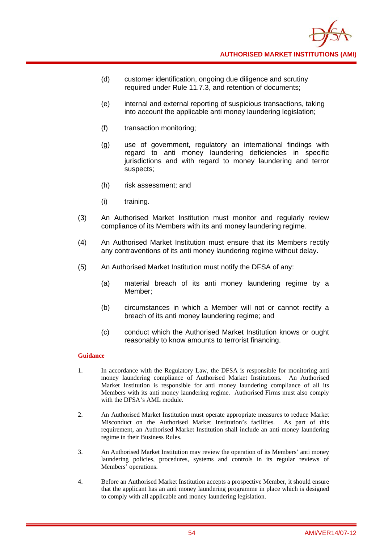- (d) customer identification, ongoing due diligence and scrutiny required under Rule 11.7.3, and retention of documents;
- (e) internal and external reporting of suspicious transactions, taking into account the applicable anti money laundering legislation;
- (f) transaction monitoring;
- (g) use of government, regulatory an international findings with regard to anti money laundering deficiencies in specific jurisdictions and with regard to money laundering and terror suspects;
- (h) risk assessment; and
- (i) training.
- (3) An Authorised Market Institution must monitor and regularly review compliance of its Members with its anti money laundering regime.
- (4) An Authorised Market Institution must ensure that its Members rectify any contraventions of its anti money laundering regime without delay.
- (5) An Authorised Market Institution must notify the DFSA of any:
	- (a) material breach of its anti money laundering regime by a Member;
	- (b) circumstances in which a Member will not or cannot rectify a breach of its anti money laundering regime; and
	- (c) conduct which the Authorised Market Institution knows or ought reasonably to know amounts to terrorist financing.

- 1. In accordance with the Regulatory Law, the DFSA is responsible for monitoring anti money laundering compliance of Authorised Market Institutions. An Authorised Market Institution is responsible for anti money laundering compliance of all its Members with its anti money laundering regime. Authorised Firms must also comply with the DFSA's AML module.
- 2. An Authorised Market Institution must operate appropriate measures to reduce Market Misconduct on the Authorised Market Institution's facilities. As part of this requirement, an Authorised Market Institution shall include an anti money laundering regime in their Business Rules.
- 3. An Authorised Market Institution may review the operation of its Members' anti money laundering policies, procedures, systems and controls in its regular reviews of Members' operations.
- 4. Before an Authorised Market Institution accepts a prospective Member, it should ensure that the applicant has an anti money laundering programme in place which is designed to comply with all applicable anti money laundering legislation.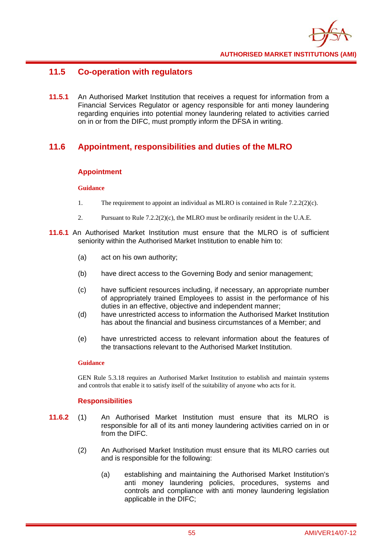

# **11.5 Co-operation with regulators**

**11.5.1** An Authorised Market Institution that receives a request for information from a Financial Services Regulator or agency responsible for anti money laundering regarding enquiries into potential money laundering related to activities carried on in or from the DIFC, must promptly inform the DFSA in writing.

# **11.6 Appointment, responsibilities and duties of the MLRO**

### **Appointment**

### **Guidance**

- 1. The requirement to appoint an individual as MLRO is contained in Rule 7.2.2(2)(c).
- 2. Pursuant to Rule 7.2.2(2)(c), the MLRO must be ordinarily resident in the U.A.E.
- **11.6.1** An Authorised Market Institution must ensure that the MLRO is of sufficient seniority within the Authorised Market Institution to enable him to:
	- (a) act on his own authority;
	- (b) have direct access to the Governing Body and senior management;
	- (c) have sufficient resources including, if necessary, an appropriate number of appropriately trained Employees to assist in the performance of his duties in an effective, objective and independent manner;
	- (d) have unrestricted access to information the Authorised Market Institution has about the financial and business circumstances of a Member; and
	- (e) have unrestricted access to relevant information about the features of the transactions relevant to the Authorised Market Institution.

### **Guidance**

GEN Rule 5.3.18 requires an Authorised Market Institution to establish and maintain systems and controls that enable it to satisfy itself of the suitability of anyone who acts for it.

### **Responsibilities**

- **11.6.2** (1) An Authorised Market Institution must ensure that its MLRO is responsible for all of its anti money laundering activities carried on in or from the DIFC.
	- (2) An Authorised Market Institution must ensure that its MLRO carries out and is responsible for the following:
		- (a) establishing and maintaining the Authorised Market Institution's anti money laundering policies, procedures, systems and controls and compliance with anti money laundering legislation applicable in the DIFC;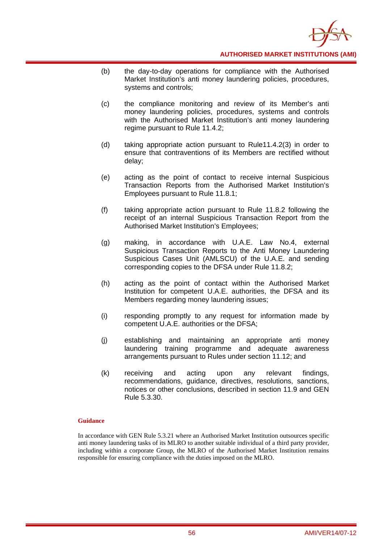

- (b) the day-to-day operations for compliance with the Authorised Market Institution's anti money laundering policies, procedures, systems and controls;
- (c) the compliance monitoring and review of its Member's anti money laundering policies, procedures, systems and controls with the Authorised Market Institution's anti money laundering regime pursuant to Rule 11.4.2;
- (d) taking appropriate action pursuant to Rule11.4.2(3) in order to ensure that contraventions of its Members are rectified without delay;
- (e) acting as the point of contact to receive internal Suspicious Transaction Reports from the Authorised Market Institution's Employees pursuant to Rule 11.8.1;
- (f) taking appropriate action pursuant to Rule 11.8.2 following the receipt of an internal Suspicious Transaction Report from the Authorised Market Institution's Employees;
- (g) making, in accordance with U.A.E. Law No.4, external Suspicious Transaction Reports to the Anti Money Laundering Suspicious Cases Unit (AMLSCU) of the U.A.E. and sending corresponding copies to the DFSA under Rule 11.8.2;
- (h) acting as the point of contact within the Authorised Market Institution for competent U.A.E. authorities, the DFSA and its Members regarding money laundering issues;
- (i) responding promptly to any request for information made by competent U.A.E. authorities or the DFSA;
- (j) establishing and maintaining an appropriate anti money laundering training programme and adequate awareness arrangements pursuant to Rules under section 11.12; and
- (k) receiving and acting upon any relevant findings, recommendations, guidance, directives, resolutions, sanctions, notices or other conclusions, described in section 11.9 and GEN Rule 5.3.30.

### **Guidance**

In accordance with GEN Rule 5.3.21 where an Authorised Market Institution outsources specific anti money laundering tasks of its MLRO to another suitable individual of a third party provider, including within a corporate Group, the MLRO of the Authorised Market Institution remains responsible for ensuring compliance with the duties imposed on the MLRO.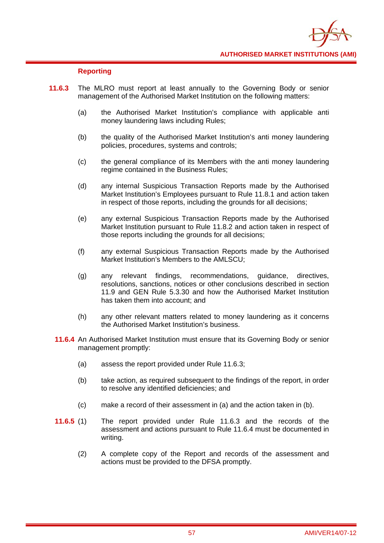

### **Reporting**

- **11.6.3** The MLRO must report at least annually to the Governing Body or senior management of the Authorised Market Institution on the following matters:
	- (a) the Authorised Market Institution's compliance with applicable anti money laundering laws including Rules;
	- (b) the quality of the Authorised Market Institution's anti money laundering policies, procedures, systems and controls;
	- (c) the general compliance of its Members with the anti money laundering regime contained in the Business Rules;
	- (d) any internal Suspicious Transaction Reports made by the Authorised Market Institution's Employees pursuant to Rule 11.8.1 and action taken in respect of those reports, including the grounds for all decisions;
	- (e) any external Suspicious Transaction Reports made by the Authorised Market Institution pursuant to Rule 11.8.2 and action taken in respect of those reports including the grounds for all decisions;
	- (f) any external Suspicious Transaction Reports made by the Authorised Market Institution's Members to the AMLSCU;
	- (g) any relevant findings, recommendations, guidance, directives, resolutions, sanctions, notices or other conclusions described in section 11.9 and GEN Rule 5.3.30 and how the Authorised Market Institution has taken them into account; and
	- (h) any other relevant matters related to money laundering as it concerns the Authorised Market Institution's business.
	- **11.6.4** An Authorised Market Institution must ensure that its Governing Body or senior management promptly:
		- (a) assess the report provided under Rule 11.6.3;
		- (b) take action, as required subsequent to the findings of the report, in order to resolve any identified deficiencies; and
		- (c) make a record of their assessment in (a) and the action taken in (b).
	- **11.6.5** (1) The report provided under Rule 11.6.3 and the records of the assessment and actions pursuant to Rule 11.6.4 must be documented in writing.
		- (2) A complete copy of the Report and records of the assessment and actions must be provided to the DFSA promptly.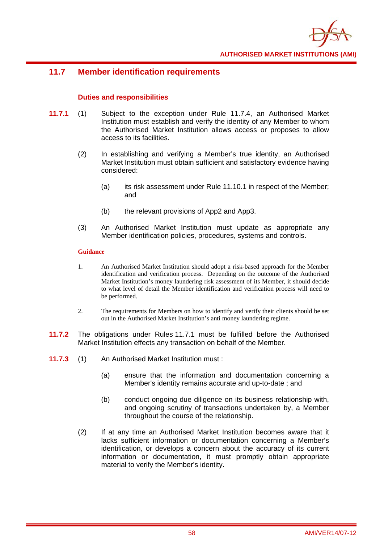

# **11.7 Member identification requirements**

### **Duties and responsibilities**

- **11.7.1** (1) Subject to the exception under Rule 11.7.4, an Authorised Market Institution must establish and verify the identity of any Member to whom the Authorised Market Institution allows access or proposes to allow access to its facilities.
	- (2) In establishing and verifying a Member's true identity, an Authorised Market Institution must obtain sufficient and satisfactory evidence having considered:
		- (a) its risk assessment under Rule 11.10.1 in respect of the Member; and
		- (b) the relevant provisions of App2 and App3.
	- (3) An Authorised Market Institution must update as appropriate any Member identification policies, procedures, systems and controls.

- 1. An Authorised Market Institution should adopt a risk-based approach for the Member identification and verification process. Depending on the outcome of the Authorised Market Institution's money laundering risk assessment of its Member, it should decide to what level of detail the Member identification and verification process will need to be performed.
- 2. The requirements for Members on how to identify and verify their clients should be set out in the Authorised Market Institution's anti money laundering regime.
- **11.7.2** The obligations under Rules 11.7.1 must be fulfilled before the Authorised Market Institution effects any transaction on behalf of the Member.
- **11.7.3** (1) An Authorised Market Institution must :
	- (a) ensure that the information and documentation concerning a Member's identity remains accurate and up-to-date ; and
	- (b) conduct ongoing due diligence on its business relationship with, and ongoing scrutiny of transactions undertaken by, a Member throughout the course of the relationship.
	- (2) If at any time an Authorised Market Institution becomes aware that it lacks sufficient information or documentation concerning a Member's identification, or develops a concern about the accuracy of its current information or documentation, it must promptly obtain appropriate material to verify the Member's identity.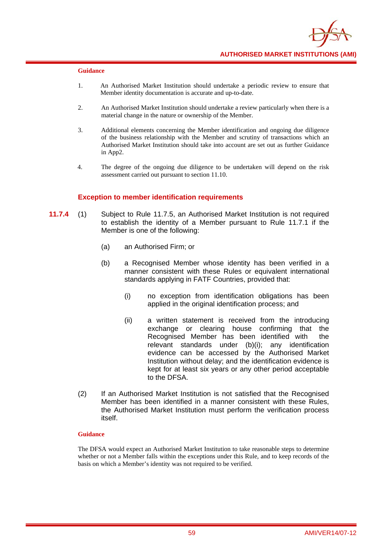

- 1. An Authorised Market Institution should undertake a periodic review to ensure that Member identity documentation is accurate and up-to-date.
- 2. An Authorised Market Institution should undertake a review particularly when there is a material change in the nature or ownership of the Member.
- 3. Additional elements concerning the Member identification and ongoing due diligence of the business relationship with the Member and scrutiny of transactions which an Authorised Market Institution should take into account are set out as further Guidance in App2.
- 4. The degree of the ongoing due diligence to be undertaken will depend on the risk assessment carried out pursuant to section 11.10.

### **Exception to member identification requirements**

- **11.7.4** (1) Subject to Rule 11.7.5, an Authorised Market Institution is not required to establish the identity of a Member pursuant to Rule 11.7.1 if the Member is one of the following:
	- (a) an Authorised Firm; or
	- (b) a Recognised Member whose identity has been verified in a manner consistent with these Rules or equivalent international standards applying in FATF Countries, provided that:
		- (i) no exception from identification obligations has been applied in the original identification process; and
		- (ii) a written statement is received from the introducing exchange or clearing house confirming that the Recognised Member has been identified with the relevant standards under (b)(i); any identification evidence can be accessed by the Authorised Market Institution without delay; and the identification evidence is kept for at least six years or any other period acceptable to the DFSA.
	- (2) If an Authorised Market Institution is not satisfied that the Recognised Member has been identified in a manner consistent with these Rules, the Authorised Market Institution must perform the verification process itself.

#### **Guidance**

The DFSA would expect an Authorised Market Institution to take reasonable steps to determine whether or not a Member falls within the exceptions under this Rule, and to keep records of the basis on which a Member's identity was not required to be verified.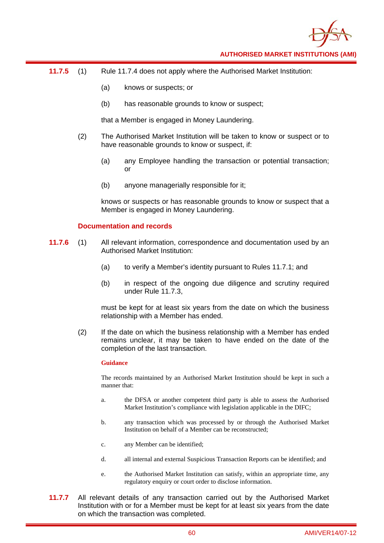

- **11.7.5** (1) Rule 11.7.4 does not apply where the Authorised Market Institution:
	- (a) knows or suspects; or
	- (b) has reasonable grounds to know or suspect;

that a Member is engaged in Money Laundering.

- (2) The Authorised Market Institution will be taken to know or suspect or to have reasonable grounds to know or suspect, if:
	- (a) any Employee handling the transaction or potential transaction; or
	- (b) anyone managerially responsible for it;

knows or suspects or has reasonable grounds to know or suspect that a Member is engaged in Money Laundering.

### **Documentation and records**

- **11.7.6** (1) All relevant information, correspondence and documentation used by an Authorised Market Institution:
	- (a) to verify a Member's identity pursuant to Rules 11.7.1; and
	- (b) in respect of the ongoing due diligence and scrutiny required under Rule 11.7.3,

must be kept for at least six years from the date on which the business relationship with a Member has ended.

(2) If the date on which the business relationship with a Member has ended remains unclear, it may be taken to have ended on the date of the completion of the last transaction.

### **Guidance**

The records maintained by an Authorised Market Institution should be kept in such a manner that:

- a. the DFSA or another competent third party is able to assess the Authorised Market Institution's compliance with legislation applicable in the DIFC;
- b. any transaction which was processed by or through the Authorised Market Institution on behalf of a Member can be reconstructed;
- c. any Member can be identified;
- d. all internal and external Suspicious Transaction Reports can be identified; and
- e. the Authorised Market Institution can satisfy, within an appropriate time, any regulatory enquiry or court order to disclose information.
- **11.7.7** All relevant details of any transaction carried out by the Authorised Market Institution with or for a Member must be kept for at least six years from the date on which the transaction was completed.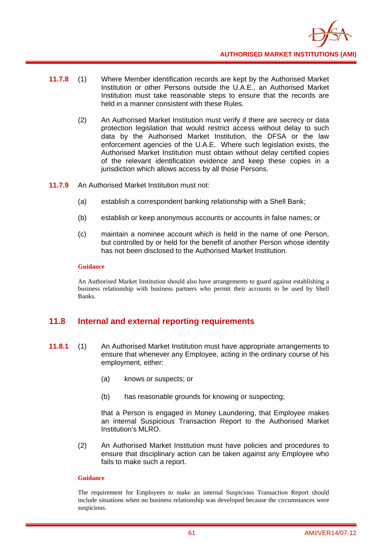

- **11.7.8** (1) Where Member identification records are kept by the Authorised Market Institution or other Persons outside the U.A.E., an Authorised Market Institution must take reasonable steps to ensure that the records are held in a manner consistent with these Rules.
	- (2) An Authorised Market Institution must verify if there are secrecy or data protection legislation that would restrict access without delay to such data by the Authorised Market Institution, the DFSA or the law enforcement agencies of the U.A.E. Where such legislation exists, the Authorised Market Institution must obtain without delay certified copies of the relevant identification evidence and keep these copies in a jurisdiction which allows access by all those Persons.
- **11.7.9** An Authorised Market Institution must not:
	- (a) establish a correspondent banking relationship with a Shell Bank;
	- (b) establish or keep anonymous accounts or accounts in false names; or
	- (c) maintain a nominee account which is held in the name of one Person, but controlled by or held for the benefit of another Person whose identity has not been disclosed to the Authorised Market Institution.

An Authorised Market Institution should also have arrangements to guard against establishing a business relationship with business partners who permit their accounts to be used by Shell Banks.

### **11.8 Internal and external reporting requirements**

- **11.8.1** (1) An Authorised Market Institution must have appropriate arrangements to ensure that whenever any Employee, acting in the ordinary course of his employment, either:
	- (a) knows or suspects; or
	- (b) has reasonable grounds for knowing or suspecting;

that a Person is engaged in Money Laundering, that Employee makes an internal Suspicious Transaction Report to the Authorised Market Institution's MLRO.

(2) An Authorised Market Institution must have policies and procedures to ensure that disciplinary action can be taken against any Employee who fails to make such a report.

### **Guidance**

The requirement for Employees to make an internal Suspicious Transaction Report should include situations when no business relationship was developed because the circumstances were suspicious.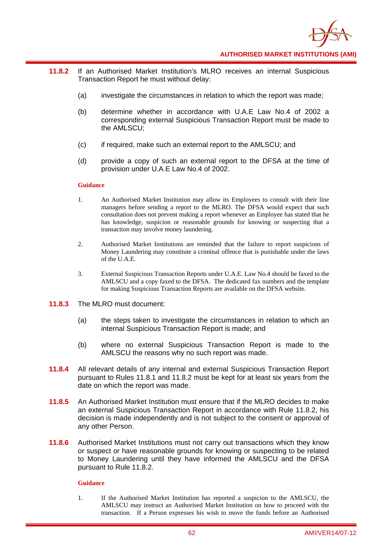

- **11.8.2** If an Authorised Market Institution's MLRO receives an internal Suspicious Transaction Report he must without delay:
	- (a) investigate the circumstances in relation to which the report was made;
	- (b) determine whether in accordance with U.A.E Law No.4 of 2002 a corresponding external Suspicious Transaction Report must be made to the AMLSCU;
	- (c) if required, make such an external report to the AMLSCU; and
	- (d) provide a copy of such an external report to the DFSA at the time of provision under U.A.E Law No.4 of 2002.

- 1. An Authorised Market Institution may allow its Employees to consult with their line managers before sending a report to the MLRO. The DFSA would expect that such consultation does not prevent making a report whenever an Employee has stated that he has knowledge, suspicion or reasonable grounds for knowing or suspecting that a transaction may involve money laundering.
- 2. Authorised Market Institutions are reminded that the failure to report suspicions of Money Laundering may constitute a criminal offence that is punishable under the laws of the U.A.E.
- 3. External Suspicious Transaction Reports under U.A.E. Law No.4 should be faxed to the AMLSCU and a copy faxed to the DFSA. The dedicated fax numbers and the template for making Suspicious Transaction Reports are available on the DFSA website.
- **11.8.3** The MLRO must document:
	- (a) the steps taken to investigate the circumstances in relation to which an internal Suspicious Transaction Report is made; and
	- (b) where no external Suspicious Transaction Report is made to the AMLSCU the reasons why no such report was made.
- **11.8.4** All relevant details of any internal and external Suspicious Transaction Report pursuant to Rules 11.8.1 and 11.8.2 must be kept for at least six years from the date on which the report was made.
- **11.8.5** An Authorised Market Institution must ensure that if the MLRO decides to make an external Suspicious Transaction Report in accordance with Rule 11.8.2, his decision is made independently and is not subject to the consent or approval of any other Person.
- **11.8.6** Authorised Market Institutions must not carry out transactions which they know or suspect or have reasonable grounds for knowing or suspecting to be related to Money Laundering until they have informed the AMLSCU and the DFSA pursuant to Rule 11.8.2.

#### **Guidance**

1. If the Authorised Market Institution has reported a suspicion to the AMLSCU, the AMLSCU may instruct an Authorised Market Institution on how to proceed with the transaction. If a Person expresses his wish to move the funds before an Authorised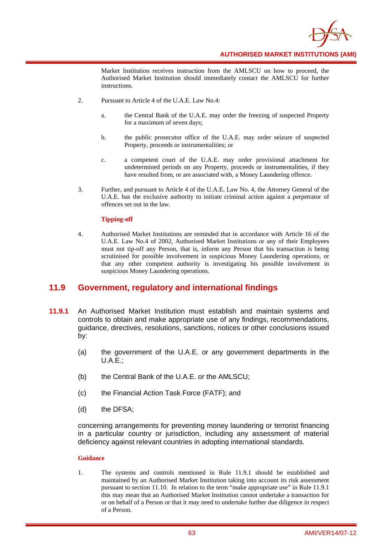

Market Institution receives instruction from the AMLSCU on how to proceed, the Authorised Market Institution should immediately contact the AMLSCU for further instructions.

- 2. Pursuant to Article 4 of the U.A.E. Law No.4:
	- a. the Central Bank of the U.A.E. may order the freezing of suspected Property for a maximum of seven days;
	- b. the public prosecutor office of the U.A.E. may order seizure of suspected Property, proceeds or instrumentalities; or
	- c. a competent court of the U.A.E. may order provisional attachment for undetermined periods on any Property, proceeds or instrumentalities, if they have resulted from, or are associated with, a Money Laundering offence.
- 3. Further, and pursuant to Article 4 of the U.A.E. Law No. 4, the Attorney General of the U.A.E. has the exclusive authority to initiate criminal action against a perpetrator of offences set out in the law.

### **Tipping-off**

4. Authorised Market Institutions are reminded that in accordance with Article 16 of the U.A.E. Law No.4 of 2002, Authorised Market Institutions or any of their Employees must not tip-off any Person, that is, inform any Person that his transaction is being scrutinised for possible involvement in suspicious Money Laundering operations, or that any other competent authority is investigating his possible involvement in suspicious Money Laundering operations.

### **11.9 Government, regulatory and international findings**

- **11.9.1** An Authorised Market Institution must establish and maintain systems and controls to obtain and make appropriate use of any findings, recommendations, guidance, directives, resolutions, sanctions, notices or other conclusions issued by:
	- (a) the government of the U.A.E. or any government departments in the  $U.A.E.:$
	- (b) the Central Bank of the U.A.E. or the AMLSCU;
	- (c) the Financial Action Task Force (FATF); and
	- (d) the DFSA;

concerning arrangements for preventing money laundering or terrorist financing in a particular country or jurisdiction, including any assessment of material deficiency against relevant countries in adopting international standards.

#### **Guidance**

1. The systems and controls mentioned in Rule 11.9.1 should be established and maintained by an Authorised Market Institution taking into account its risk assessment pursuant to section 11.10. In relation to the term "make appropriate use" in Rule 11.9.1 this may mean that an Authorised Market Institution cannot undertake a transaction for or on behalf of a Person or that it may need to undertake further due diligence in respect of a Person.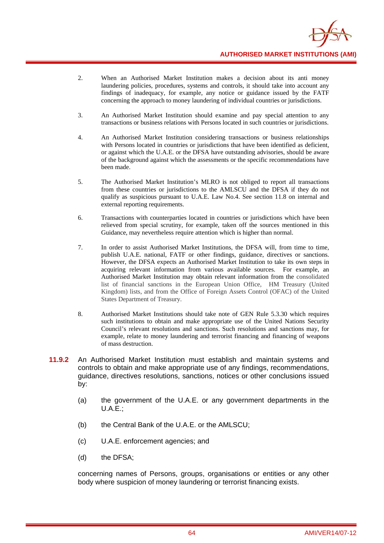

- 2. When an Authorised Market Institution makes a decision about its anti money laundering policies, procedures, systems and controls, it should take into account any findings of inadequacy, for example, any notice or guidance issued by the FATF concerning the approach to money laundering of individual countries or jurisdictions.
- 3. An Authorised Market Institution should examine and pay special attention to any transactions or business relations with Persons located in such countries or jurisdictions.
- 4. An Authorised Market Institution considering transactions or business relationships with Persons located in countries or jurisdictions that have been identified as deficient, or against which the U.A.E. or the DFSA have outstanding advisories, should be aware of the background against which the assessments or the specific recommendations have been made.
- 5. The Authorised Market Institution's MLRO is not obliged to report all transactions from these countries or jurisdictions to the AMLSCU and the DFSA if they do not qualify as suspicious pursuant to U.A.E. Law No.4. See section 11.8 on internal and external reporting requirements.
- 6. Transactions with counterparties located in countries or jurisdictions which have been relieved from special scrutiny, for example, taken off the sources mentioned in this Guidance, may nevertheless require attention which is higher than normal.
- 7. In order to assist Authorised Market Institutions, the DFSA will, from time to time, publish U.A.E. national, FATF or other findings, guidance, directives or sanctions. However, the DFSA expects an Authorised Market Institution to take its own steps in acquiring relevant information from various available sources. For example, an Authorised Market Institution may obtain relevant information from the consolidated list of financial sanctions in the European Union Office, HM Treasury (United Kingdom) lists, and from the Office of Foreign Assets Control (OFAC) of the United States Department of Treasury.
- 8. Authorised Market Institutions should take note of GEN Rule 5.3.30 which requires such institutions to obtain and make appropriate use of the United Nations Security Council's relevant resolutions and sanctions. Such resolutions and sanctions may, for example, relate to money laundering and terrorist financing and financing of weapons of mass destruction.
- **11.9.2** An Authorised Market Institution must establish and maintain systems and controls to obtain and make appropriate use of any findings, recommendations, guidance, directives resolutions, sanctions, notices or other conclusions issued by:
	- (a) the government of the U.A.E. or any government departments in the  $U.A.E.:$
	- (b) the Central Bank of the U.A.E. or the AMLSCU;
	- (c) U.A.E. enforcement agencies; and
	- (d) the DFSA;

concerning names of Persons, groups, organisations or entities or any other body where suspicion of money laundering or terrorist financing exists.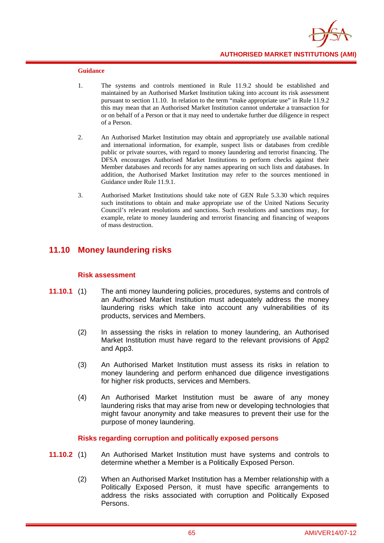

- 1. The systems and controls mentioned in Rule 11.9.2 should be established and maintained by an Authorised Market Institution taking into account its risk assessment pursuant to section 11.10. In relation to the term "make appropriate use" in Rule 11.9.2 this may mean that an Authorised Market Institution cannot undertake a transaction for or on behalf of a Person or that it may need to undertake further due diligence in respect of a Person.
- 2. An Authorised Market Institution may obtain and appropriately use available national and international information, for example, suspect lists or databases from credible public or private sources, with regard to money laundering and terrorist financing. The DFSA encourages Authorised Market Institutions to perform checks against their Member databases and records for any names appearing on such lists and databases. In addition, the Authorised Market Institution may refer to the sources mentioned in Guidance under Rule 11.9.1.
- 3. Authorised Market Institutions should take note of GEN Rule 5.3.30 which requires such institutions to obtain and make appropriate use of the United Nations Security Council's relevant resolutions and sanctions. Such resolutions and sanctions may, for example, relate to money laundering and terrorist financing and financing of weapons of mass destruction.

# **11.10 Money laundering risks**

### **Risk assessment**

- **11.10.1** (1) The anti money laundering policies, procedures, systems and controls of an Authorised Market Institution must adequately address the money laundering risks which take into account any vulnerabilities of its products, services and Members.
	- (2) In assessing the risks in relation to money laundering, an Authorised Market Institution must have regard to the relevant provisions of App2 and App3.
	- (3) An Authorised Market Institution must assess its risks in relation to money laundering and perform enhanced due diligence investigations for higher risk products, services and Members.
	- (4) An Authorised Market Institution must be aware of any money laundering risks that may arise from new or developing technologies that might favour anonymity and take measures to prevent their use for the purpose of money laundering.

### **Risks regarding corruption and politically exposed persons**

- **11.10.2** (1) An Authorised Market Institution must have systems and controls to determine whether a Member is a Politically Exposed Person.
	- (2) When an Authorised Market Institution has a Member relationship with a Politically Exposed Person, it must have specific arrangements to address the risks associated with corruption and Politically Exposed Persons.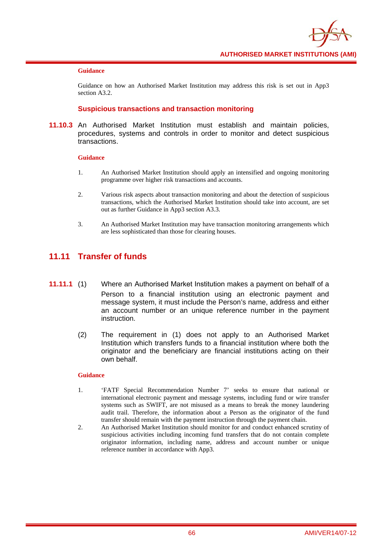

Guidance on how an Authorised Market Institution may address this risk is set out in App3 section A3.2.

### **Suspicious transactions and transaction monitoring**

**11.10.3** An Authorised Market Institution must establish and maintain policies, procedures, systems and controls in order to monitor and detect suspicious transactions.

#### **Guidance**

- 1. An Authorised Market Institution should apply an intensified and ongoing monitoring programme over higher risk transactions and accounts.
- 2. Various risk aspects about transaction monitoring and about the detection of suspicious transactions, which the Authorised Market Institution should take into account, are set out as further Guidance in App3 section A3.3.
- 3. An Authorised Market Institution may have transaction monitoring arrangements which are less sophisticated than those for clearing houses.

### **11.11 Transfer of funds**

- **11.11.1** (1) Where an Authorised Market Institution makes a payment on behalf of a Person to a financial institution using an electronic payment and message system, it must include the Person's name, address and either an account number or an unique reference number in the payment instruction.
	- (2) The requirement in (1) does not apply to an Authorised Market Institution which transfers funds to a financial institution where both the originator and the beneficiary are financial institutions acting on their own behalf.

- 1. 'FATF Special Recommendation Number 7' seeks to ensure that national or international electronic payment and message systems, including fund or wire transfer systems such as SWIFT, are not misused as a means to break the money laundering audit trail. Therefore, the information about a Person as the originator of the fund transfer should remain with the payment instruction through the payment chain.
- 2. An Authorised Market Institution should monitor for and conduct enhanced scrutiny of suspicious activities including incoming fund transfers that do not contain complete originator information, including name, address and account number or unique reference number in accordance with App3.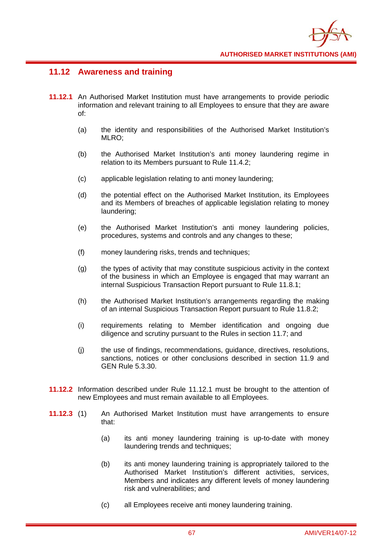

# **11.12 Awareness and training**

- **11.12.1** An Authorised Market Institution must have arrangements to provide periodic information and relevant training to all Employees to ensure that they are aware of:
	- (a) the identity and responsibilities of the Authorised Market Institution's MLRO;
	- (b) the Authorised Market Institution's anti money laundering regime in relation to its Members pursuant to Rule 11.4.2;
	- (c) applicable legislation relating to anti money laundering;
	- (d) the potential effect on the Authorised Market Institution, its Employees and its Members of breaches of applicable legislation relating to money laundering;
	- (e) the Authorised Market Institution's anti money laundering policies, procedures, systems and controls and any changes to these;
	- (f) money laundering risks, trends and techniques;
	- (g) the types of activity that may constitute suspicious activity in the context of the business in which an Employee is engaged that may warrant an internal Suspicious Transaction Report pursuant to Rule 11.8.1;
	- (h) the Authorised Market Institution's arrangements regarding the making of an internal Suspicious Transaction Report pursuant to Rule 11.8.2;
	- (i) requirements relating to Member identification and ongoing due diligence and scrutiny pursuant to the Rules in section 11.7; and
	- (j) the use of findings, recommendations, guidance, directives, resolutions, sanctions, notices or other conclusions described in section 11.9 and GEN Rule 5.3.30.
- **11.12.2** Information described under Rule 11.12.1 must be brought to the attention of new Employees and must remain available to all Employees.
- **11.12.3** (1) An Authorised Market Institution must have arrangements to ensure that:
	- (a) its anti money laundering training is up-to-date with money laundering trends and techniques;
	- (b) its anti money laundering training is appropriately tailored to the Authorised Market Institution's different activities, services, Members and indicates any different levels of money laundering risk and vulnerabilities; and
	- (c) all Employees receive anti money laundering training.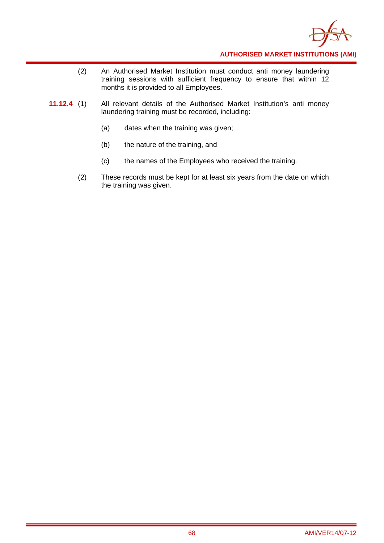

- (2) An Authorised Market Institution must conduct anti money laundering training sessions with sufficient frequency to ensure that within 12 months it is provided to all Employees.
- **11.12.4** (1) All relevant details of the Authorised Market Institution's anti money laundering training must be recorded, including:
	- (a) dates when the training was given;
	- (b) the nature of the training, and
	- (c) the names of the Employees who received the training.
	- (2) These records must be kept for at least six years from the date on which the training was given.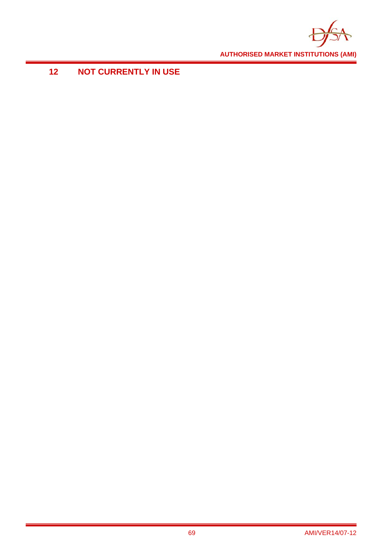

# **12 NOT CURRENTLY IN USE**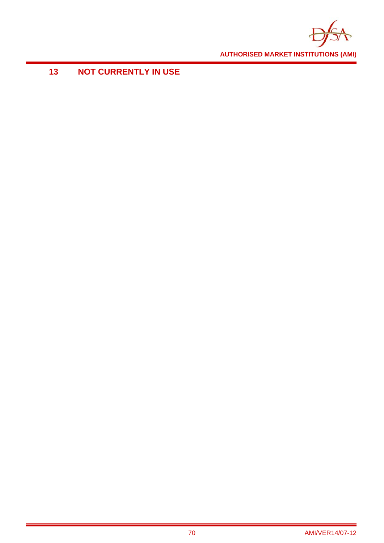

# **13 NOT CURRENTLY IN USE**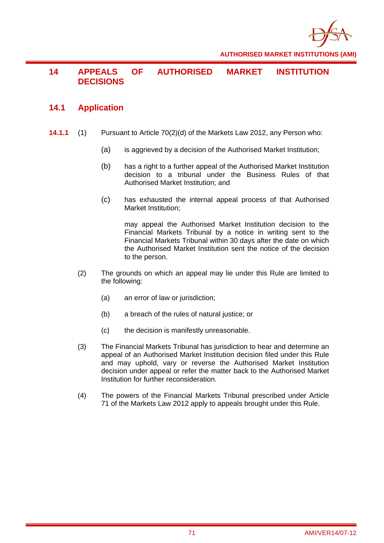

# **14 APPEALS OF AUTHORISED MARKET INSTITUTION DECISIONS**

### **14.1 Application**

- **14.1.1** (1) Pursuant to Article 70(2)(d) of the Markets Law 2012, any Person who:
	- (a) is aggrieved by a decision of the Authorised Market Institution;
	- (b) has a right to a further appeal of the Authorised Market Institution decision to a tribunal under the Business Rules of that Authorised Market Institution; and
	- (c) has exhausted the internal appeal process of that Authorised Market Institution;

may appeal the Authorised Market Institution decision to the Financial Markets Tribunal by a notice in writing sent to the Financial Markets Tribunal within 30 days after the date on which the Authorised Market Institution sent the notice of the decision to the person.

- (2) The grounds on which an appeal may lie under this Rule are limited to the following:
	- (a) an error of law or jurisdiction;
	- (b) a breach of the rules of natural justice; or
	- (c) the decision is manifestly unreasonable.
- (3) The Financial Markets Tribunal has jurisdiction to hear and determine an appeal of an Authorised Market Institution decision filed under this Rule and may uphold, vary or reverse the Authorised Market Institution decision under appeal or refer the matter back to the Authorised Market Institution for further reconsideration.
- (4) The powers of the Financial Markets Tribunal prescribed under Article 71 of the Markets Law 2012 apply to appeals brought under this Rule.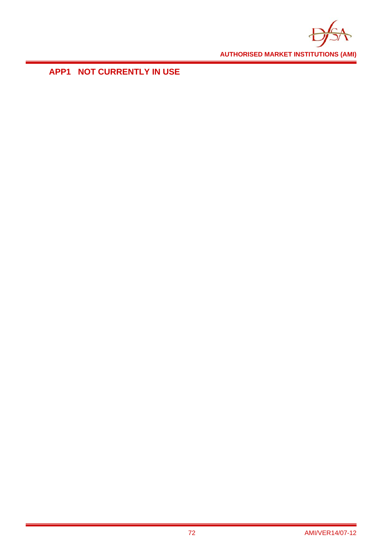

**APP1 NOT CURRENTLY IN USE**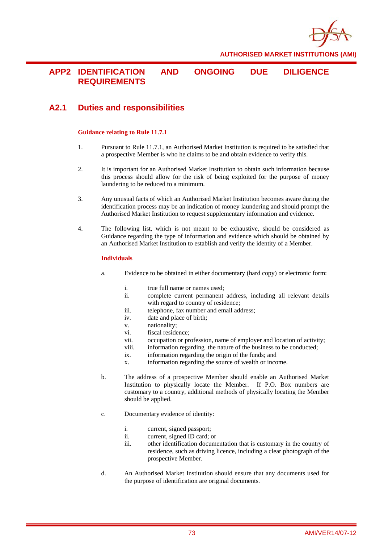

## **APP2 IDENTIFICATION AND ONGOING DUE DILIGENCE REQUIREMENTS**

# **A2.1 Duties and responsibilities**

#### **Guidance relating to Rule 11.7.1**

- 1. Pursuant to Rule 11.7.1, an Authorised Market Institution is required to be satisfied that a prospective Member is who he claims to be and obtain evidence to verify this.
- 2. It is important for an Authorised Market Institution to obtain such information because this process should allow for the risk of being exploited for the purpose of money laundering to be reduced to a minimum.
- 3. Any unusual facts of which an Authorised Market Institution becomes aware during the identification process may be an indication of money laundering and should prompt the Authorised Market Institution to request supplementary information and evidence.
- 4. The following list, which is not meant to be exhaustive, should be considered as Guidance regarding the type of information and evidence which should be obtained by an Authorised Market Institution to establish and verify the identity of a Member.

#### **Individuals**

- a. Evidence to be obtained in either documentary (hard copy) or electronic form:
	- i. true full name or names used;
	- ii. complete current permanent address, including all relevant details with regard to country of residence;
	- iii. telephone, fax number and email address;
	- iv. date and place of birth;
	- v. nationality;
	- vi. fiscal residence;
	- vii. occupation or profession, name of employer and location of activity;
	- viii. information regarding the nature of the business to be conducted;
	- ix. information regarding the origin of the funds; and
	- x. information regarding the source of wealth or income.
- b. The address of a prospective Member should enable an Authorised Market Institution to physically locate the Member. If P.O. Box numbers are customary to a country, additional methods of physically locating the Member should be applied.
- c. Documentary evidence of identity:
	- i. current, signed passport;
		- ii. current, signed ID card; or
		- iii. other identification documentation that is customary in the country of residence, such as driving licence, including a clear photograph of the prospective Member.
- d. An Authorised Market Institution should ensure that any documents used for the purpose of identification are original documents.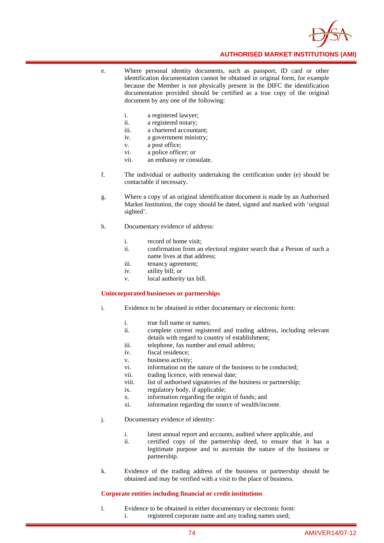

- e. Where personal identity documents, such as passport, ID card or other identification documentation cannot be obtained in original form, for example because the Member is not physically present in the DIFC the identification documentation provided should be certified as a true copy of the original document by any one of the following:
	- i. a registered lawyer;
	- ii. a registered notary;
	- iii. a chartered accountant;
	- iv. a government ministry;
	- v. a post office;
	- vi. a police officer; or
	- vii. an embassy or consulate.
- f. The individual or authority undertaking the certification under (e) should be contactable if necessary.
- g. Where a copy of an original identification document is made by an Authorised Market Institution, the copy should be dated, signed and marked with 'original sighted'.
- h. Documentary evidence of address:
	- i. record of home visit;
	- ii. confirmation from an electoral register search that a Person of such a name lives at that address;
	- iii. tenancy agreement;
	- iv. utility bill; or
	- v. local authority tax bill.

#### **Unincorporated businesses or partnerships**

- i. Evidence to be obtained in either documentary or electronic form:
	- i. true full name or names;
	- ii. complete current registered and trading address, including relevant details with regard to country of establishment;
	- iii. telephone, fax number and email address;
	- iv. fiscal residence;
	- v. business activity;
	- vi. information on the nature of the business to be conducted;
	- vii. trading licence, with renewal date;
	- viii. list of authorised signatories of the business or partnership;
	- ix. regulatory body, if applicable;
	- x. information regarding the origin of funds; and
	- xi. information regarding the source of wealth/income.
- j. Documentary evidence of identity:
	- i. latest annual report and accounts, audited where applicable, and
	- ii. certified copy of the partnership deed, to ensure that it has a legitimate purpose and to ascertain the nature of the business or partnership.
- k. Evidence of the trading address of the business or partnership should be obtained and may be verified with a visit to the place of business.

#### **Corporate entities including financial or credit institutions**

l. Evidence to be obtained in either documentary or electronic form: i. registered corporate name and any trading names used;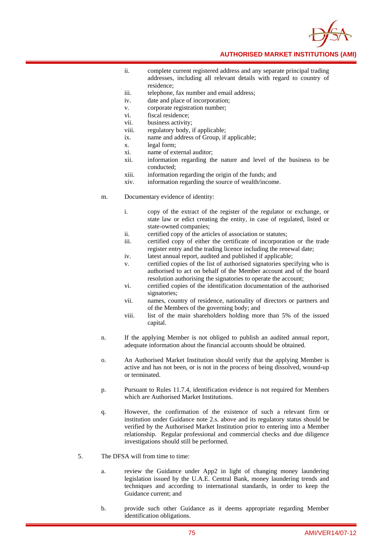- ii. complete current registered address and any separate principal trading addresses, including all relevant details with regard to country of residence;
- iii. telephone, fax number and email address;
- iv. date and place of incorporation;
- v. corporate registration number;
- vi. fiscal residence;
- vii. business activity;
- viii. regulatory body, if applicable;
- ix. name and address of Group, if applicable;
- x. legal form;
- xi. name of external auditor;
- xii. information regarding the nature and level of the business to be conducted;
- xiii. information regarding the origin of the funds; and
- xiv. information regarding the source of wealth/income.
- m. Documentary evidence of identity:
	- i. copy of the extract of the register of the regulator or exchange, or state law or edict creating the entity, in case of regulated, listed or state-owned companies;
	- ii. certified copy of the articles of association or statutes;
	- iii. certified copy of either the certificate of incorporation or the trade register entry and the trading licence including the renewal date;
	- iv. latest annual report, audited and published if applicable;
	- v. certified copies of the list of authorised signatories specifying who is authorised to act on behalf of the Member account and of the board resolution authorising the signatories to operate the account;
	- vi. certified copies of the identification documentation of the authorised signatories;
	- vii. names, country of residence, nationality of directors or partners and of the Members of the governing body; and
	- viii. list of the main shareholders holding more than 5% of the issued capital.
- n. If the applying Member is not obliged to publish an audited annual report, adequate information about the financial accounts should be obtained.
- o. An Authorised Market Institution should verify that the applying Member is active and has not been, or is not in the process of being dissolved, wound-up or terminated.
- p. Pursuant to Rules 11.7.4, identification evidence is not required for Members which are Authorised Market Institutions.
- q. However, the confirmation of the existence of such a relevant firm or institution under Guidance note 2.s. above and its regulatory status should be verified by the Authorised Market Institution prior to entering into a Member relationship. Regular professional and commercial checks and due diligence investigations should still be performed.
- 5. The DFSA will from time to time:
	- a. review the Guidance under App2 in light of changing money laundering legislation issued by the U.A.E. Central Bank, money laundering trends and techniques and according to international standards, in order to keep the Guidance current; and
	- b. provide such other Guidance as it deems appropriate regarding Member identification obligations.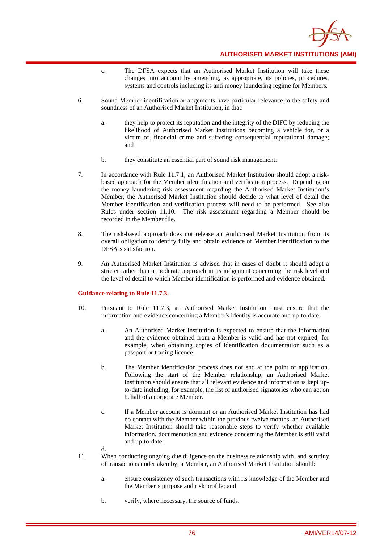

- c. The DFSA expects that an Authorised Market Institution will take these changes into account by amending, as appropriate, its policies, procedures, systems and controls including its anti money laundering regime for Members.
- 6. Sound Member identification arrangements have particular relevance to the safety and soundness of an Authorised Market Institution, in that:
	- a. they help to protect its reputation and the integrity of the DIFC by reducing the likelihood of Authorised Market Institutions becoming a vehicle for, or a victim of, financial crime and suffering consequential reputational damage; and
	- b. they constitute an essential part of sound risk management.
- 7. In accordance with Rule 11.7.1, an Authorised Market Institution should adopt a riskbased approach for the Member identification and verification process. Depending on the money laundering risk assessment regarding the Authorised Market Institution's Member, the Authorised Market Institution should decide to what level of detail the Member identification and verification process will need to be performed. See also Rules under section 11.10. The risk assessment regarding a Member should be recorded in the Member file.
- 8. The risk-based approach does not release an Authorised Market Institution from its overall obligation to identify fully and obtain evidence of Member identification to the DFSA's satisfaction.
- 9. An Authorised Market Institution is advised that in cases of doubt it should adopt a stricter rather than a moderate approach in its judgement concerning the risk level and the level of detail to which Member identification is performed and evidence obtained.

#### **Guidance relating to Rule 11.7.3.**

- 10. Pursuant to Rule 11.7.3, an Authorised Market Institution must ensure that the information and evidence concerning a Member's identity is accurate and up-to-date.
	- a. An Authorised Market Institution is expected to ensure that the information and the evidence obtained from a Member is valid and has not expired, for example, when obtaining copies of identification documentation such as a passport or trading licence.
	- b. The Member identification process does not end at the point of application. Following the start of the Member relationship, an Authorised Market Institution should ensure that all relevant evidence and information is kept upto-date including, for example, the list of authorised signatories who can act on behalf of a corporate Member.
	- c. If a Member account is dormant or an Authorised Market Institution has had no contact with the Member within the previous twelve months, an Authorised Market Institution should take reasonable steps to verify whether available information, documentation and evidence concerning the Member is still valid and up-to-date.
	- d.
- 11. When conducting ongoing due diligence on the business relationship with, and scrutiny of transactions undertaken by, a Member, an Authorised Market Institution should:
	- a. ensure consistency of such transactions with its knowledge of the Member and the Member's purpose and risk profile; and
	- b. verify, where necessary, the source of funds.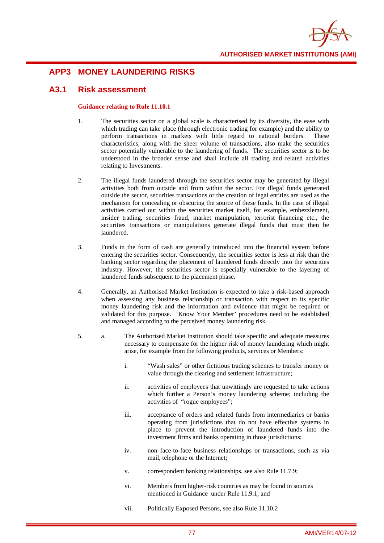

## **APP3 MONEY LAUNDERING RISKS**

### **A3.1 Risk assessment**

#### **Guidance relating to Rule 11.10.1**

- 1. The securities sector on a global scale is characterised by its diversity, the ease with which trading can take place (through electronic trading for example) and the ability to perform transactions in markets with little regard to national borders. These characteristics, along with the sheer volume of transactions, also make the securities sector potentially vulnerable to the laundering of funds. The securities sector is to be understood in the broader sense and shall include all trading and related activities relating to Investments.
- 2. The illegal funds laundered through the securities sector may be generated by illegal activities both from outside and from within the sector. For illegal funds generated outside the sector, securities transactions or the creation of legal entities are used as the mechanism for concealing or obscuring the source of these funds. In the case of illegal activities carried out within the securities market itself, for example, embezzlement, insider trading, securities fraud, market manipulation, terrorist financing etc., the securities transactions or manipulations generate illegal funds that must then be laundered.
- 3. Funds in the form of cash are generally introduced into the financial system before entering the securities sector. Consequently, the securities sector is less at risk than the banking sector regarding the placement of laundered funds directly into the securities industry. However, the securities sector is especially vulnerable to the layering of laundered funds subsequent to the placement phase.
- 4. Generally, an Authorised Market Institution is expected to take a risk-based approach when assessing any business relationship or transaction with respect to its specific money laundering risk and the information and evidence that might be required or validated for this purpose. 'Know Your Member' procedures need to be established and managed according to the perceived money laundering risk.
- 5. a. The Authorised Market Institution should take specific and adequate measures necessary to compensate for the higher risk of money laundering which might arise, for example from the following products, services or Members:
	- i. "Wash sales" or other fictitious trading schemes to transfer money or value through the clearing and settlement infrastructure;
	- ii. activities of employees that unwittingly are requested to take actions which further a Person's money laundering scheme; including the activities of "rogue employees";
	- iii. acceptance of orders and related funds from intermediaries or banks operating from jurisdictions that do not have effective systems in place to prevent the introduction of laundered funds into the investment firms and banks operating in those jurisdictions;
	- iv. non face-to-face business relationships or transactions, such as via mail, telephone or the Internet;
	- v. correspondent banking relationships, see also Rule 11.7.9;
	- vi. Members from higher-risk countries as may be found in sources mentioned in Guidance under Rule 11.9.1; and
	- vii. Politically Exposed Persons, see also Rule 11.10.2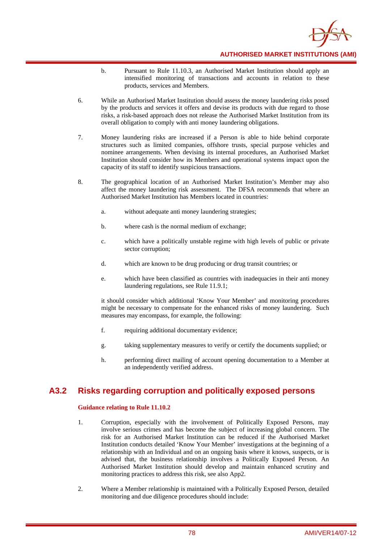

- b. Pursuant to Rule 11.10.3, an Authorised Market Institution should apply an intensified monitoring of transactions and accounts in relation to these products, services and Members.
- 6. While an Authorised Market Institution should assess the money laundering risks posed by the products and services it offers and devise its products with due regard to those risks, a risk-based approach does not release the Authorised Market Institution from its overall obligation to comply with anti money laundering obligations.
- 7. Money laundering risks are increased if a Person is able to hide behind corporate structures such as limited companies, offshore trusts, special purpose vehicles and nominee arrangements. When devising its internal procedures, an Authorised Market Institution should consider how its Members and operational systems impact upon the capacity of its staff to identify suspicious transactions.
- 8. The geographical location of an Authorised Market Institution's Member may also affect the money laundering risk assessment. The DFSA recommends that where an Authorised Market Institution has Members located in countries:
	- a. without adequate anti money laundering strategies;
	- b. where cash is the normal medium of exchange;
	- c. which have a politically unstable regime with high levels of public or private sector corruption;
	- d. which are known to be drug producing or drug transit countries; or
	- e. which have been classified as countries with inadequacies in their anti money laundering regulations, see Rule 11.9.1;

it should consider which additional 'Know Your Member' and monitoring procedures might be necessary to compensate for the enhanced risks of money laundering. Such measures may encompass, for example, the following:

- f. requiring additional documentary evidence;
- g. taking supplementary measures to verify or certify the documents supplied; or
- h. performing direct mailing of account opening documentation to a Member at an independently verified address.

### **A3.2 Risks regarding corruption and politically exposed persons**

#### **Guidance relating to Rule 11.10.2**

- 1. Corruption, especially with the involvement of Politically Exposed Persons, may involve serious crimes and has become the subject of increasing global concern. The risk for an Authorised Market Institution can be reduced if the Authorised Market Institution conducts detailed 'Know Your Member' investigations at the beginning of a relationship with an Individual and on an ongoing basis where it knows, suspects, or is advised that, the business relationship involves a Politically Exposed Person. An Authorised Market Institution should develop and maintain enhanced scrutiny and monitoring practices to address this risk, see also App2.
- 2. Where a Member relationship is maintained with a Politically Exposed Person, detailed monitoring and due diligence procedures should include: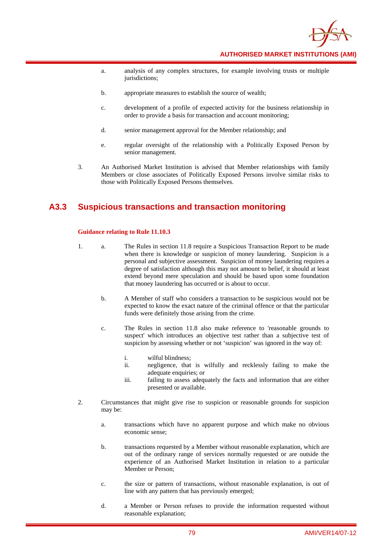

- a. analysis of any complex structures, for example involving trusts or multiple jurisdictions;
- b. appropriate measures to establish the source of wealth;
- c. development of a profile of expected activity for the business relationship in order to provide a basis for transaction and account monitoring;
- d. senior management approval for the Member relationship; and
- e. regular oversight of the relationship with a Politically Exposed Person by senior management.
- 3. An Authorised Market Institution is advised that Member relationships with family Members or close associates of Politically Exposed Persons involve similar risks to those with Politically Exposed Persons themselves.

### **A3.3 Suspicious transactions and transaction monitoring**

#### **Guidance relating to Rule 11.10.3**

- 1. a. The Rules in section 11.8 require a Suspicious Transaction Report to be made when there is knowledge or suspicion of money laundering. Suspicion is a personal and subjective assessment. Suspicion of money laundering requires a degree of satisfaction although this may not amount to belief, it should at least extend beyond mere speculation and should be based upon some foundation that money laundering has occurred or is about to occur.
	- b. A Member of staff who considers a transaction to be suspicious would not be expected to know the exact nature of the criminal offence or that the particular funds were definitely those arising from the crime.
	- c. The Rules in section 11.8 also make reference to 'reasonable grounds to suspect' which introduces an objective test rather than a subjective test of suspicion by assessing whether or not 'suspicion' was ignored in the way of:
		- i. wilful blindness;
		- ii. negligence, that is wilfully and recklessly failing to make the adequate enquiries; or
		- iii. failing to assess adequately the facts and information that are either presented or available.
- 2. Circumstances that might give rise to suspicion or reasonable grounds for suspicion may be:
	- a. transactions which have no apparent purpose and which make no obvious economic sense;
	- b. transactions requested by a Member without reasonable explanation, which are out of the ordinary range of services normally requested or are outside the experience of an Authorised Market Institution in relation to a particular Member or Person;
	- c. the size or pattern of transactions, without reasonable explanation, is out of line with any pattern that has previously emerged;
	- d. a Member or Person refuses to provide the information requested without reasonable explanation;